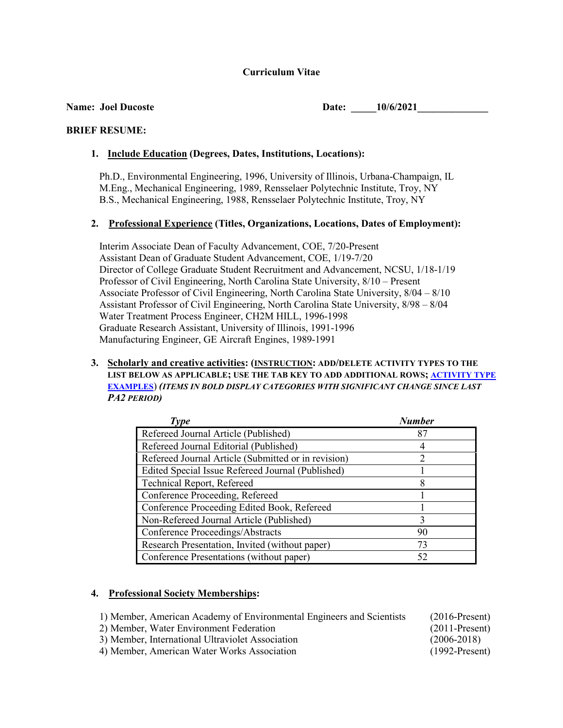# **Curriculum Vitae**

Name: Joel Ducoste **Date: 2008** Date: 2016/2021

### **BRIEF RESUME:**

# **1. Include Education (Degrees, Dates, Institutions, Locations):**

Ph.D., Environmental Engineering, 1996, University of Illinois, Urbana-Champaign, IL M.Eng., Mechanical Engineering, 1989, Rensselaer Polytechnic Institute, Troy, NY B.S., Mechanical Engineering, 1988, Rensselaer Polytechnic Institute, Troy, NY

# **2. Professional Experience (Titles, Organizations, Locations, Dates of Employment):**

Interim Associate Dean of Faculty Advancement, COE, 7/20-Present Assistant Dean of Graduate Student Advancement, COE, 1/19-7/20 Director of College Graduate Student Recruitment and Advancement, NCSU, 1/18-1/19 Professor of Civil Engineering, North Carolina State University, 8/10 – Present Associate Professor of Civil Engineering, North Carolina State University, 8/04 – 8/10 Assistant Professor of Civil Engineering, North Carolina State University, 8/98 – 8/04 Water Treatment Process Engineer, CH2M HILL, 1996-1998 Graduate Research Assistant, University of Illinois, 1991-1996 Manufacturing Engineer, GE Aircraft Engines, 1989-1991

**3. Scholarly and creative activities: (INSTRUCTION: ADD/DELETE ACTIVITY TYPES TO THE LIST BELOW AS APPLICABLE; USE THE TAB KEY TO ADD ADDITIONAL ROWS; [ACTIVITY TYPE](http://www.ncsu.edu/provost/RPT/scholarly_activity_types.html)  [EXAMPLES](http://www.ncsu.edu/provost/RPT/scholarly_activity_types.html)**) *(ITEMS IN BOLD DISPLAY CATEGORIES WITH SIGNIFICANT CHANGE SINCE LAST PA2 PERIOD)*

| <b>Type</b>                                         | <b>Number</b> |
|-----------------------------------------------------|---------------|
| Refereed Journal Article (Published)                | 87            |
| Refereed Journal Editorial (Published)              |               |
| Refereed Journal Article (Submitted or in revision) |               |
| Edited Special Issue Refereed Journal (Published)   |               |
| Technical Report, Refereed                          |               |
| Conference Proceeding, Refereed                     |               |
| Conference Proceeding Edited Book, Refereed         |               |
| Non-Refereed Journal Article (Published)            |               |
| Conference Proceedings/Abstracts                    | 90            |
| Research Presentation, Invited (without paper)      | 73            |
| Conference Presentations (without paper)            | 52            |

# **4. Professional Society Memberships:**

| 1) Member, American Academy of Environmental Engineers and Scientists | $(2016\text{-}Present)$ |
|-----------------------------------------------------------------------|-------------------------|
| 2) Member, Water Environment Federation                               | $(2011-Present)$        |
| 3) Member, International Ultraviolet Association                      | $(2006 - 2018)$         |
| 4) Member, American Water Works Association                           | $(1992-Present)$        |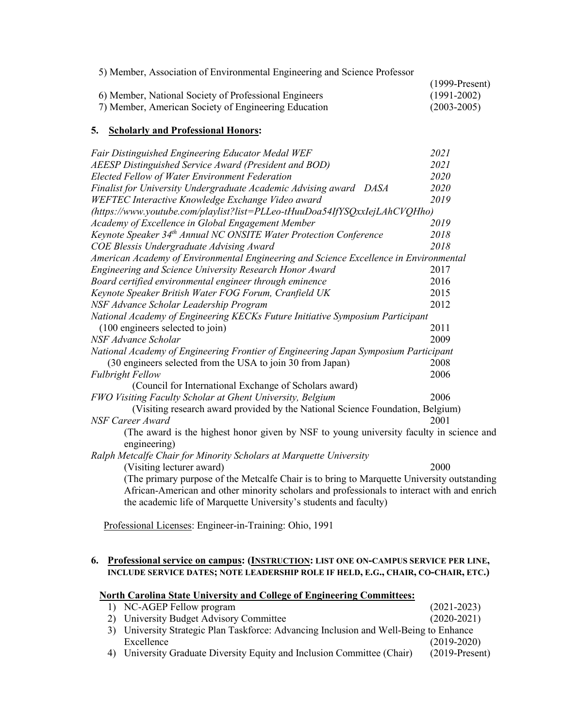| 5) Member, Association of Environmental Engineering and Science Professor |                  |
|---------------------------------------------------------------------------|------------------|
|                                                                           | $(1999-Present)$ |
| 6) Member, National Society of Professional Engineers                     | $(1991 - 2002)$  |
| 7) Member, American Society of Engineering Education                      | $(2003 - 2005)$  |
|                                                                           |                  |

# **5. Scholarly and Professional Honors:**

| <b>Fair Distinguished Engineering Educator Medal WEF</b>                                                                                                                                 | 2021 |  |
|------------------------------------------------------------------------------------------------------------------------------------------------------------------------------------------|------|--|
| AEESP Distinguished Service Award (President and BOD)                                                                                                                                    | 2021 |  |
| <b>Elected Fellow of Water Environment Federation</b>                                                                                                                                    | 2020 |  |
| Finalist for University Undergraduate Academic Advising award DASA                                                                                                                       | 2020 |  |
| WEFTEC Interactive Knowledge Exchange Video award                                                                                                                                        | 2019 |  |
| (https://www.youtube.com/playlist?list=PLLeo-tHuuDoa54IfYSQxxIejLAhCVQHho)                                                                                                               |      |  |
| Academy of Excellence in Global Engagement Member                                                                                                                                        | 2019 |  |
| Keynote Speaker 34 <sup>th</sup> Annual NC ONSITE Water Protection Conference                                                                                                            | 2018 |  |
| COE Blessis Undergraduate Advising Award                                                                                                                                                 | 2018 |  |
| American Academy of Environmental Engineering and Science Excellence in Environmental                                                                                                    |      |  |
| Engineering and Science University Research Honor Award                                                                                                                                  | 2017 |  |
| Board certified environmental engineer through eminence                                                                                                                                  | 2016 |  |
| Keynote Speaker British Water FOG Forum, Cranfield UK                                                                                                                                    | 2015 |  |
| NSF Advance Scholar Leadership Program                                                                                                                                                   | 2012 |  |
| National Academy of Engineering KECKs Future Initiative Symposium Participant                                                                                                            |      |  |
| (100 engineers selected to join)                                                                                                                                                         | 2011 |  |
| NSF Advance Scholar                                                                                                                                                                      | 2009 |  |
| National Academy of Engineering Frontier of Engineering Japan Symposium Participant                                                                                                      |      |  |
| (30 engineers selected from the USA to join 30 from Japan)                                                                                                                               | 2008 |  |
| <b>Fulbright Fellow</b>                                                                                                                                                                  | 2006 |  |
| (Council for International Exchange of Scholars award)                                                                                                                                   |      |  |
| FWO Visiting Faculty Scholar at Ghent University, Belgium                                                                                                                                | 2006 |  |
| (Visiting research award provided by the National Science Foundation, Belgium)                                                                                                           |      |  |
| NSF Career Award                                                                                                                                                                         | 2001 |  |
| (The award is the highest honor given by NSF to young university faculty in science and<br>engineering)                                                                                  |      |  |
| Ralph Metcalfe Chair for Minority Scholars at Marquette University                                                                                                                       |      |  |
| (Visiting lecturer award)                                                                                                                                                                | 2000 |  |
|                                                                                                                                                                                          |      |  |
| (The primary purpose of the Metcalfe Chair is to bring to Marquette University outstanding<br>African-American and other minority scholars and professionals to interact with and enrich |      |  |
| the academic life of Marquette University's students and faculty)                                                                                                                        |      |  |
|                                                                                                                                                                                          |      |  |

Professional Licenses: Engineer-in-Training: Ohio, 1991

# **6. Professional service on campus: (INSTRUCTION: LIST ONE ON-CAMPUS SERVICE PER LINE, INCLUDE SERVICE DATES; NOTE LEADERSHIP ROLE IF HELD, E.G., CHAIR, CO-CHAIR, ETC.)**

# **North Carolina State University and College of Engineering Committees:**

| 1) NC-AGEP Fellow program                                                             | $(2021 - 2023)$  |
|---------------------------------------------------------------------------------------|------------------|
| 2) University Budget Advisory Committee                                               | $(2020-2021)$    |
| 3) University Strategic Plan Taskforce: Advancing Inclusion and Well-Being to Enhance |                  |
| Excellence                                                                            | $(2019-2020)$    |
| 4) University Graduate Diversity Equity and Inclusion Committee (Chair)               | $(2019-Present)$ |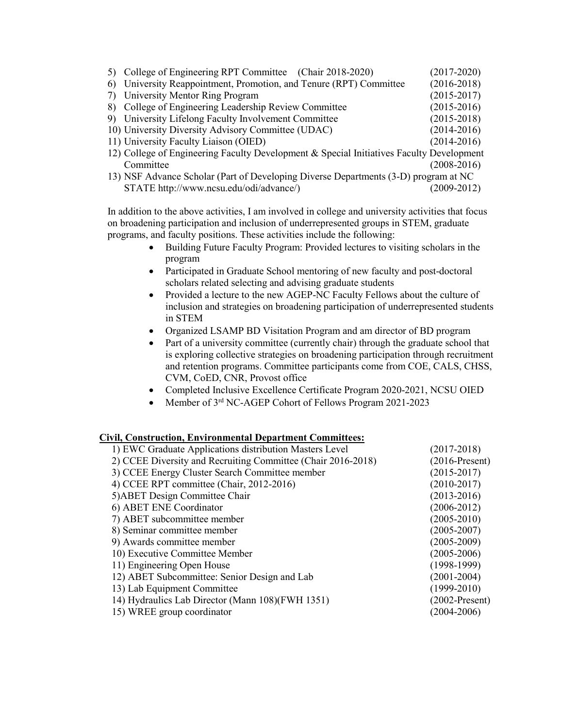| 5) College of Engineering RPT Committee (Chair 2018-2020)                                | $(2017 - 2020)$ |
|------------------------------------------------------------------------------------------|-----------------|
| 6) University Reappointment, Promotion, and Tenure (RPT) Committee                       | $(2016 - 2018)$ |
| 7) University Mentor Ring Program                                                        | $(2015 - 2017)$ |
| 8) College of Engineering Leadership Review Committee                                    | $(2015 - 2016)$ |
| 9) University Lifelong Faculty Involvement Committee                                     | $(2015 - 2018)$ |
| 10) University Diversity Advisory Committee (UDAC)                                       | $(2014 - 2016)$ |
| 11) University Faculty Liaison (OIED)                                                    | $(2014 - 2016)$ |
| 12) College of Engineering Faculty Development & Special Initiatives Faculty Development |                 |
| Committee                                                                                | $(2008 - 2016)$ |
| 13) NSF Advance Scholar (Part of Developing Diverse Departments (3-D) program at NC      |                 |
| STATE http://www.ncsu.edu/odi/advance/)                                                  | $(2009 - 2012)$ |

In addition to the above activities, I am involved in college and university activities that focus on broadening participation and inclusion of underrepresented groups in STEM, graduate programs, and faculty positions. These activities include the following:

- Building Future Faculty Program: Provided lectures to visiting scholars in the program
- Participated in Graduate School mentoring of new faculty and post-doctoral scholars related selecting and advising graduate students
- Provided a lecture to the new AGEP-NC Faculty Fellows about the culture of inclusion and strategies on broadening participation of underrepresented students in STEM
- Organized LSAMP BD Visitation Program and am director of BD program
- Part of a university committee (currently chair) through the graduate school that is exploring collective strategies on broadening participation through recruitment and retention programs. Committee participants come from COE, CALS, CHSS, CVM, CoED, CNR, Provost office
- Completed Inclusive Excellence Certificate Program 2020-2021, NCSU OIED
- Member of 3rd NC-AGEP Cohort of Fellows Program 2021-2023

#### **Civil, Construction, Environmental Department Committees:**

| 1) EWC Graduate Applications distribution Masters Level      | $(2017 - 2018)$   |
|--------------------------------------------------------------|-------------------|
| 2) CCEE Diversity and Recruiting Committee (Chair 2016-2018) | $(2016$ -Present) |
| 3) CCEE Energy Cluster Search Committee member               | $(2015 - 2017)$   |
| 4) CCEE RPT committee (Chair, 2012-2016)                     | $(2010-2017)$     |
| 5) ABET Design Committee Chair                               | $(2013 - 2016)$   |
| 6) ABET ENE Coordinator                                      | $(2006 - 2012)$   |
| 7) ABET subcommittee member                                  | $(2005 - 2010)$   |
| 8) Seminar committee member                                  | $(2005 - 2007)$   |
| 9) Awards committee member                                   | $(2005 - 2009)$   |
| 10) Executive Committee Member                               | $(2005 - 2006)$   |
| 11) Engineering Open House                                   | $(1998-1999)$     |
| 12) ABET Subcommittee: Senior Design and Lab                 | $(2001 - 2004)$   |
| 13) Lab Equipment Committee                                  | $(1999-2010)$     |
| 14) Hydraulics Lab Director (Mann 108)(FWH 1351)             | $(2002-Present)$  |
| 15) WREE group coordinator                                   | $(2004 - 2006)$   |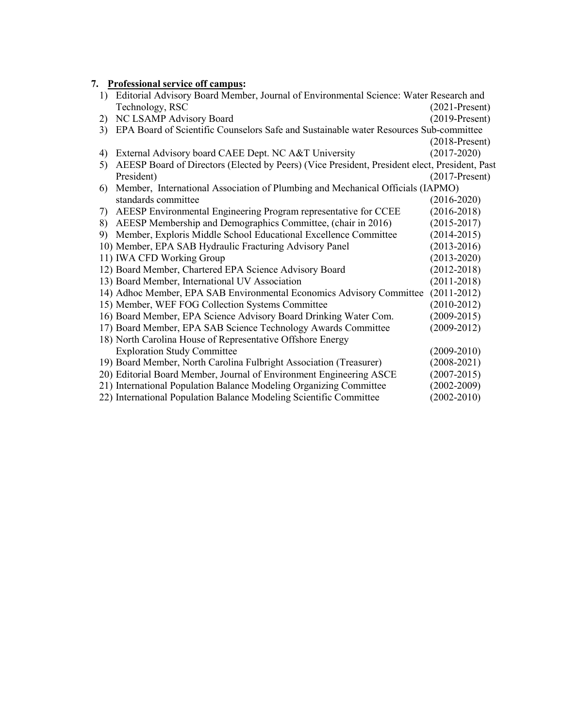# **7. Professional service off campus:**

| 1) | Editorial Advisory Board Member, Journal of Environmental Science: Water Research and         |                  |
|----|-----------------------------------------------------------------------------------------------|------------------|
|    | Technology, RSC                                                                               | $(2021-Present)$ |
| 2) | NC LSAMP Advisory Board                                                                       | $(2019-Present)$ |
| 3) | EPA Board of Scientific Counselors Safe and Sustainable water Resources Sub-committee         |                  |
|    |                                                                                               | $(2018-Present)$ |
| 4) | External Advisory board CAEE Dept. NC A&T University                                          | $(2017 - 2020)$  |
| 5) | AEESP Board of Directors (Elected by Peers) (Vice President, President elect, President, Past |                  |
|    | President)                                                                                    | $(2017-Present)$ |
| 6) | Member, International Association of Plumbing and Mechanical Officials (IAPMO)                |                  |
|    | standards committee                                                                           | $(2016 - 2020)$  |
| 7) | AEESP Environmental Engineering Program representative for CCEE                               | $(2016 - 2018)$  |
| 8) | AEESP Membership and Demographics Committee, (chair in 2016)                                  | $(2015 - 2017)$  |
| 9) | Member, Exploris Middle School Educational Excellence Committee                               | $(2014 - 2015)$  |
|    | 10) Member, EPA SAB Hydraulic Fracturing Advisory Panel                                       | $(2013 - 2016)$  |
|    | 11) IWA CFD Working Group                                                                     | $(2013 - 2020)$  |
|    | 12) Board Member, Chartered EPA Science Advisory Board                                        | $(2012 - 2018)$  |
|    | 13) Board Member, International UV Association                                                | $(2011 - 2018)$  |
|    | 14) Adhoc Member, EPA SAB Environmental Economics Advisory Committee                          | $(2011 - 2012)$  |
|    | 15) Member, WEF FOG Collection Systems Committee                                              | $(2010-2012)$    |
|    | 16) Board Member, EPA Science Advisory Board Drinking Water Com.                              | $(2009 - 2015)$  |
|    | 17) Board Member, EPA SAB Science Technology Awards Committee                                 | $(2009 - 2012)$  |
|    | 18) North Carolina House of Representative Offshore Energy                                    |                  |
|    | <b>Exploration Study Committee</b>                                                            | $(2009 - 2010)$  |
|    | 19) Board Member, North Carolina Fulbright Association (Treasurer)                            | $(2008 - 2021)$  |
|    | 20) Editorial Board Member, Journal of Environment Engineering ASCE                           | $(2007 - 2015)$  |
|    | 21) International Population Balance Modeling Organizing Committee                            | $(2002 - 2009)$  |
|    | 22) International Population Balance Modeling Scientific Committee                            | $(2002 - 2010)$  |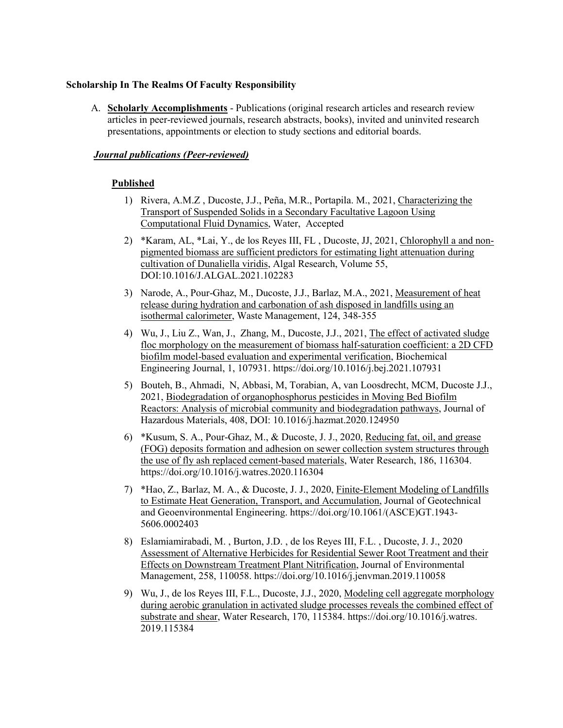### **Scholarship In The Realms Of Faculty Responsibility**

A. **Scholarly Accomplishments** - Publications (original research articles and research review articles in peer-reviewed journals, research abstracts, books), invited and uninvited research presentations, appointments or election to study sections and editorial boards.

### *Journal publications (Peer-reviewed)*

### **Published**

- 1) Rivera, A.M.Z , Ducoste, J.J., Peña, M.R., Portapila. M., 2021, Characterizing the Transport of Suspended Solids in a Secondary Facultative Lagoon Using Computational Fluid Dynamics, Water, Accepted
- 2) \*Karam, AL, \*Lai, Y., de los Reyes III, FL , Ducoste, JJ, 2021, Chlorophyll a and nonpigmented biomass are sufficient predictors for estimating light attenuation during cultivation of Dunaliella viridis, Algal Research, Volume 55, DOI:10.1016/J.ALGAL.2021.102283
- 3) Narode, A., Pour-Ghaz, M., Ducoste, J.J., Barlaz, M.A., 2021, Measurement of heat release during hydration and carbonation of ash disposed in landfills using an isothermal calorimeter, Waste Management, 124, 348-355
- 4) Wu, J., Liu Z., Wan, J., Zhang, M., Ducoste, J.J., 2021, The effect of activated sludge floc morphology on the measurement of biomass half-saturation coefficient: a 2D CFD biofilm model-based evaluation and experimental verification, Biochemical Engineering Journal, 1, 107931. https://doi.org/10.1016/j.bej.2021.107931
- 5) Bouteh, B., Ahmadi, N, Abbasi, M, Torabian, A, van Loosdrecht, MCM, Ducoste J.J., 2021, Biodegradation of organophosphorus pesticides in Moving Bed Biofilm Reactors: Analysis of microbial community and biodegradation pathways, Journal of Hazardous Materials, 408, DOI: 10.1016/j.hazmat.2020.124950
- 6) \*Kusum, S. A., Pour-Ghaz, M., & Ducoste, J. J., 2020, Reducing fat, oil, and grease (FOG) deposits formation and adhesion on sewer collection system structures through the use of fly ash replaced cement-based materials, Water Research, 186, 116304. https://doi.org/10.1016/j.watres.2020.116304
- 7) \*Hao, Z., Barlaz, M. A., & Ducoste, J. J., 2020, Finite-Element Modeling of Landfills to Estimate Heat Generation, Transport, and Accumulation, Journal of Geotechnical and Geoenvironmental Engineering. https://doi.org/10.1061/(ASCE)GT.1943- 5606.0002403
- 8) Eslamiamirabadi, M. , Burton, J.D. , de los Reyes III, F.L. , Ducoste, J. J., 2020 Assessment of Alternative Herbicides for Residential Sewer Root Treatment and their Effects on Downstream Treatment Plant Nitrification, Journal of Environmental Management, 258, 110058. https://doi.org/10.1016/j.jenvman.2019.110058
- 9) Wu, J., de los Reyes III, F.L., Ducoste, J.J., 2020, Modeling cell aggregate morphology during aerobic granulation in activated sludge processes reveals the combined effect of substrate and shear, Water Research, 170, 115384. https://doi.org/10.1016/j.watres. 2019.115384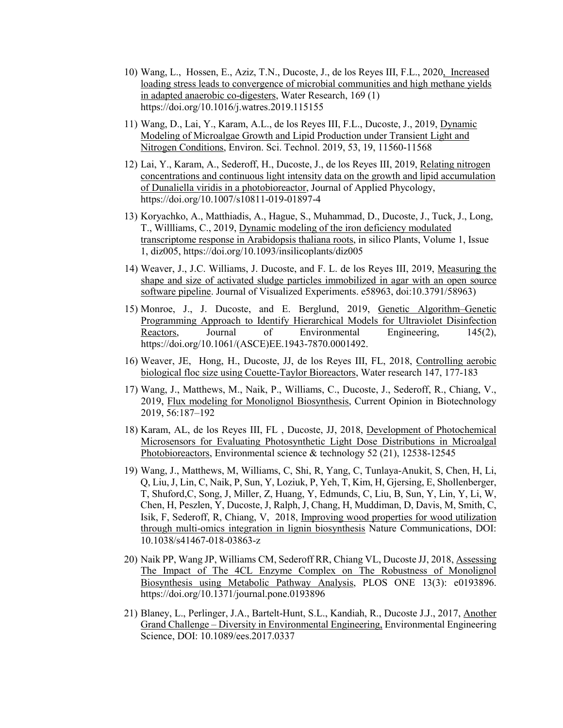- 10) Wang, L., Hossen, E., Aziz, T.N., Ducoste, J., de los Reyes III, F.L., 2020, Increased loading stress leads to convergence of microbial communities and high methane yields in adapted anaerobic co-digesters, Water Research, 169 (1) https://doi.org/10.1016/j.watres.2019.115155
- 11) Wang, D., Lai, Y., Karam, A.L., de los Reyes III, F.L., Ducoste, J., 2019, Dynamic Modeling of Microalgae Growth and Lipid Production under Transient Light and Nitrogen Conditions, Environ. Sci. Technol. 2019, 53, 19, 11560-11568
- 12) Lai, Y., Karam, A., Sederoff, H., Ducoste, J., de los Reyes III, 2019, Relating nitrogen concentrations and continuous light intensity data on the growth and lipid accumulation of Dunaliella viridis in a photobioreactor, Journal of Applied Phycology, https://doi.org/10.1007/s10811-019-01897-4
- 13) Koryachko, A., Matthiadis, A., Hague, S., Muhammad, D., Ducoste, J., Tuck, J., Long, T., Willliams, C., 2019, Dynamic modeling of the iron deficiency modulated transcriptome response in Arabidopsis thaliana roots, in silico Plants, Volume 1, Issue 1, diz005, https://doi.org/10.1093/insilicoplants/diz005
- 14) Weaver, J., J.C. Williams, J. Ducoste, and F. L. de los Reyes III, 2019, Measuring the shape and size of activated sludge particles immobilized in agar with an open source software pipeline. Journal of Visualized Experiments. e58963, doi:10.3791/58963)
- 15) Monroe, J., J. Ducoste, and E. Berglund, 2019, Genetic Algorithm–Genetic Programming Approach to Identify Hierarchical Models for Ultraviolet Disinfection Reactors, Journal of Environmental Engineering, 145(2), https://doi.org/10.1061/(ASCE)EE.1943-7870.0001492.
- 16) Weaver, JE, Hong, H., Ducoste, JJ, de los Reyes III, FL, 2018, Controlling aerobic biological floc size using Couette-Taylor Bioreactors, Water research 147, 177-183
- 17) Wang, J., Matthews, M., Naik, P., Williams, C., Ducoste, J., Sederoff, R., Chiang, V., 2019, Flux modeling for Monolignol Biosynthesis, Current Opinion in Biotechnology 2019, 56:187–192
- 18) Karam, AL, de los Reyes III, FL , Ducoste, JJ, 2018, Development of Photochemical Microsensors for Evaluating Photosynthetic Light Dose Distributions in Microalgal Photobioreactors, Environmental science & technology 52 (21), 12538-12545
- 19) Wang, J., Matthews, M, Williams, C, Shi, R, Yang, C, Tunlaya-Anukit, S, Chen, H, Li, Q, Liu, J, Lin, C, Naik, P, Sun, Y, Loziuk, P, Yeh, T, Kim, H, Gjersing, E, Shollenberger, T, Shuford,C, Song, J, Miller, Z, Huang, Y, Edmunds, C, Liu, B, Sun, Y, Lin, Y, Li, W, Chen, H, Peszlen, Y, Ducoste, J, Ralph, J, Chang, H, Muddiman, D, Davis, M, Smith, C, Isik, F, Sederoff, R, Chiang, V, 2018, Improving wood properties for wood utilization through multi-omics integration in lignin biosynthesis Nature Communications, DOI: 10.1038/s41467-018-03863-z
- 20) Naik PP, Wang JP, Williams CM, Sederoff RR, Chiang VL, Ducoste JJ, 2018, Assessing The Impact of The 4CL Enzyme Complex on The Robustness of Monolignol Biosynthesis using Metabolic Pathway Analysis, PLOS ONE 13(3): e0193896. https://doi.org/10.1371/journal.pone.0193896
- 21) Blaney, L., Perlinger, J.A., Bartelt-Hunt, S.L., Kandiah, R., Ducoste J.J., 2017, Another Grand Challenge – Diversity in Environmental Engineering, Environmental Engineering Science, DOI: 10.1089/ees.2017.0337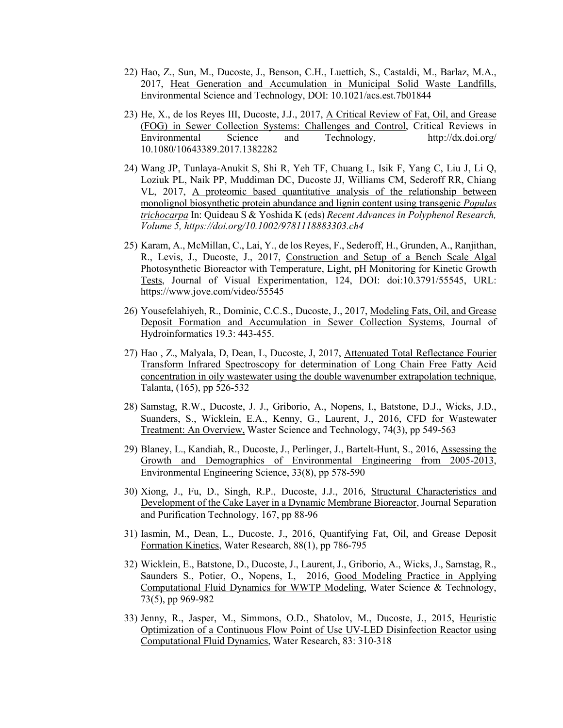- 22) Hao, Z., Sun, M., Ducoste, J., Benson, C.H., Luettich, S., Castaldi, M., Barlaz, M.A., 2017, Heat Generation and Accumulation in Municipal Solid Waste Landfills, Environmental Science and Technology, DOI: 10.1021/acs.est.7b01844
- 23) He, X., de los Reyes III, Ducoste, J.J., 2017, A Critical Review of Fat, Oil, and Grease (FOG) in Sewer Collection Systems: Challenges and Control, Critical Reviews in Environmental Science and Technology, http://dx.doi.org/ 10.1080/10643389.2017.1382282
- 24) Wang JP, Tunlaya-Anukit S, Shi R, Yeh TF, Chuang L, Isik F, Yang C, Liu J, Li Q, Loziuk PL, Naik PP, Muddiman DC, Ducoste JJ, Williams CM, Sederoff RR, Chiang VL, 2017, A proteomic based quantitative analysis of the relationship between monolignol biosynthetic protein abundance and lignin content using transgenic *Populus trichocarpa* In: Quideau S & Yoshida K (eds) *Recent Advances in Polyphenol Research, Volume 5, https://doi.org/10.1002/9781118883303.ch4*
- 25) Karam, A., McMillan, C., Lai, Y., de los Reyes, F., Sederoff, H., Grunden, A., Ranjithan, R., Levis, J., Ducoste, J., 2017, Construction and Setup of a Bench Scale Algal Photosynthetic Bioreactor with Temperature, Light, pH Monitoring for Kinetic Growth Tests, Journal of Visual Experimentation, 124, DOI: doi:10.3791/55545, URL: https://www.jove.com/video/55545
- 26) Yousefelahiyeh, R., Dominic, C.C.S., Ducoste, J., 2017, Modeling Fats, Oil, and Grease Deposit Formation and Accumulation in Sewer Collection Systems, Journal of Hydroinformatics 19.3: 443-455.
- 27) Hao , Z., Malyala, D, Dean, L, Ducoste, J, 2017, Attenuated Total Reflectance Fourier Transform Infrared Spectroscopy for determination of Long Chain Free Fatty Acid concentration in oily wastewater using the double wavenumber extrapolation technique, Talanta, (165), pp 526-532
- 28) Samstag, R.W., Ducoste, J. J., Griborio, A., Nopens, I., Batstone, D.J., Wicks, J.D., Suanders, S., Wicklein, E.A., Kenny, G., Laurent, J., 2016, CFD for Wastewater Treatment: An Overview, Waster Science and Technology, 74(3), pp 549-563
- 29) Blaney, L., Kandiah, R., Ducoste, J., Perlinger, J., Bartelt-Hunt, S., 2016, Assessing the Growth and Demographics of Environmental Engineering from 2005-2013, Environmental Engineering Science, 33(8), pp 578-590
- 30) Xiong, J., Fu, D., Singh, R.P., Ducoste, J.J., 2016, Structural Characteristics and Development of the Cake Layer in a Dynamic Membrane Bioreactor, Journal Separation and Purification Technology, 167, pp 88-96
- 31) Iasmin, M., Dean, L., Ducoste, J., 2016, Quantifying Fat, Oil, and Grease Deposit Formation Kinetics, Water Research, 88(1), pp 786-795
- 32) Wicklein, E., Batstone, D., Ducoste, J., Laurent, J., Griborio, A., Wicks, J., Samstag, R., Saunders S., Potier, O., Nopens, I., 2016, Good Modeling Practice in Applying Computational Fluid Dynamics for WWTP Modeling, Water Science & Technology, 73(5), pp 969-982
- 33) Jenny, R., Jasper, M., Simmons, O.D., Shatolov, M., Ducoste, J., 2015, Heuristic Optimization of a Continuous Flow Point of Use UV-LED Disinfection Reactor using Computational Fluid Dynamics, Water Research, 83: 310-318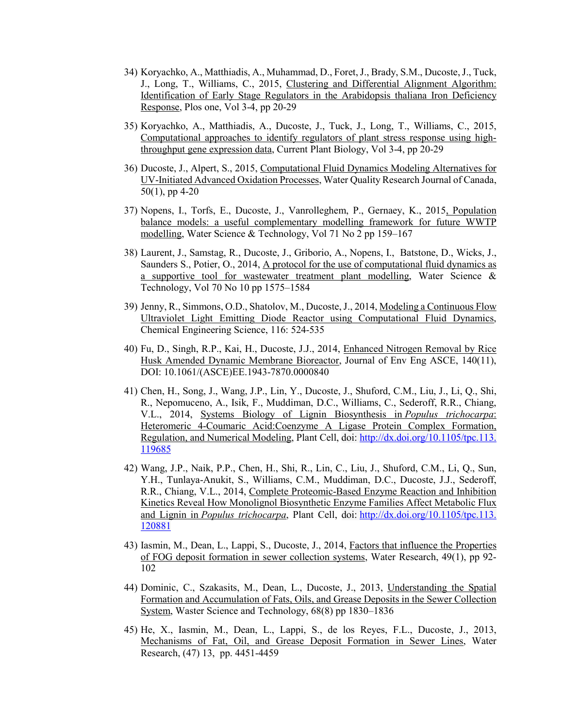- 34) Koryachko, A., Matthiadis, A., Muhammad, D., Foret, J., Brady, S.M., Ducoste, J., Tuck, J., Long, T., Williams, C., 2015, Clustering and Differential Alignment Algorithm: [Identification of Early Stage Regulators in the Arabidopsis thaliana Iron Deficiency](http://dx.plos.org/10.1371/journal.pone.0136591)  [Response,](http://dx.plos.org/10.1371/journal.pone.0136591) Plos one, Vol 3-4, pp 20-29
- 35) Koryachko, A., Matthiadis, A., Ducoste, J., Tuck, J., Long, T., Williams, C., 2015, Computational approaches to identify regulators of plant stress response using highthroughput gene expression data, Current Plant Biology, Vol 3-4, pp 20-29
- 36) Ducoste, J., Alpert, S., 2015, Computational Fluid Dynamics Modeling Alternatives for UV-Initiated Advanced Oxidation Processes, Water Quality Research Journal of Canada, 50(1), pp 4-20
- 37) Nopens, I., Torfs, E., Ducoste, J., Vanrolleghem, P., Gernaey, K., 2015, Population balance models: a useful complementary modelling framework for future WWTP modelling, Water Science & Technology, Vol 71 No 2 pp 159–167
- 38) Laurent, J., Samstag, R., Ducoste, J., Griborio, A., Nopens, I., Batstone, D., Wicks, J., Saunders S., Potier, O., 2014, A protocol for the use of computational fluid dynamics as a supportive tool for wastewater treatment plant modelling, Water Science & Technology, Vol 70 No 10 pp 1575–1584
- 39) Jenny, R., Simmons, O.D., Shatolov, M., Ducoste, J., 2014, Modeling a Continuous Flow Ultraviolet Light Emitting Diode Reactor using Computational Fluid Dynamics, Chemical Engineering Science, 116: 524-535
- 40) Fu, D., Singh, R.P., Kai, H., Ducoste, J.J., 2014, Enhanced Nitrogen Removal by Rice Husk Amended Dynamic Membrane Bioreactor, Journal of Env Eng ASCE, 140(11), DOI: 10.1061/(ASCE)EE.1943-7870.0000840
- 41) Chen, H., Song, J., Wang, J.P., Lin, Y., Ducoste, J., Shuford, C.M., Liu, J., Li, Q., Shi, R., Nepomuceno, A., Isik, F., Muddiman, D.C., Williams, C., Sederoff, R.R., Chiang, V.L., 2014, Systems Biology of Lignin Biosynthesis in *Populus trichocarpa*: Heteromeric 4-Coumaric Acid:Coenzyme A Ligase Protein Complex Formation, Regulation, and Numerical Modeling, Plant Cell, doi: [http://dx.doi.org/10.1105/tpc.113.](http://%E2%80%8B/%E2%80%8Bdx.%E2%80%8Bdoi.%E2%80%8Borg/%E2%80%8B10.%E2%80%8B1105/%E2%80%8Btpc.%E2%80%8B113.%E2%80%8B119685) [119685](http://%E2%80%8B/%E2%80%8Bdx.%E2%80%8Bdoi.%E2%80%8Borg/%E2%80%8B10.%E2%80%8B1105/%E2%80%8Btpc.%E2%80%8B113.%E2%80%8B119685)
- 42) Wang, J.P., Naik, P.P., Chen, H., Shi, R., Lin, C., Liu, J., Shuford, C.M., Li, Q., Sun, Y.H., Tunlaya-Anukit, S., Williams, C.M., Muddiman, D.C., Ducoste, J.J., Sederoff, R.R., Chiang, V.L., 2014, Complete Proteomic-Based Enzyme Reaction and Inhibition Kinetics Reveal How Monolignol Biosynthetic Enzyme Families Affect Metabolic Flux and Lignin in *Populus trichocarpa*, Plant Cell, doi: [http://dx.doi.org/10.1105/tpc.113.](http://%E2%80%8B/%E2%80%8Bdx.%E2%80%8Bdoi.%E2%80%8Borg/%E2%80%8B10.%E2%80%8B1105/%E2%80%8Btpc.%E2%80%8B113.%E2%80%8B120881) [120881](http://%E2%80%8B/%E2%80%8Bdx.%E2%80%8Bdoi.%E2%80%8Borg/%E2%80%8B10.%E2%80%8B1105/%E2%80%8Btpc.%E2%80%8B113.%E2%80%8B120881)
- 43) Iasmin, M., Dean, L., Lappi, S., Ducoste, J., 2014, Factors that influence the Properties of FOG deposit formation in sewer collection systems, Water Research, 49(1), pp 92- 102
- 44) Dominic, C., Szakasits, M., Dean, L., Ducoste, J., 2013, Understanding the Spatial Formation and Accumulation of Fats, Oils, and Grease Deposits in the Sewer Collection System, Waster Science and Technology, 68(8) pp 1830–1836
- 45) He, X., Iasmin, M., Dean, L., Lappi, S., de los Reyes, F.L., Ducoste, J., 2013, Mechanisms of Fat, Oil, and Grease Deposit Formation in Sewer Lines, Water Research, (47) 13, pp. 4451-4459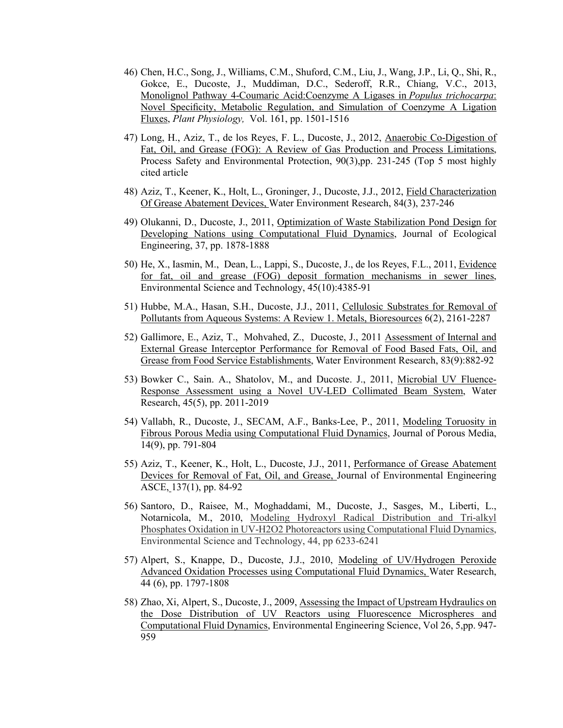- 46) Chen, H.C., Song, J., Williams, C.M., Shuford, C.M., Liu, J., Wang, J.P., Li, Q., Shi, R., Gokce, E., Ducoste, J., Muddiman, D.C., Sederoff, R.R., Chiang, V.C., 2013, Monolignol Pathway 4-Coumaric Acid:Coenzyme A Ligases in *Populus trichocarpa*: Novel Specificity, Metabolic Regulation, and Simulation of Coenzyme A Ligation Fluxes, *Plant Physiology,* Vol. 161, pp. 1501-1516
- 47) Long, H., Aziz, T., de los Reyes, F. L., Ducoste, J., 2012, Anaerobic Co-Digestion of Fat, Oil, and Grease (FOG): A Review of Gas Production and Process Limitations, Process Safety and Environmental Protection, 90(3),pp. 231-245 (Top 5 most highly cited article
- 48) Aziz, T., Keener, K., Holt, L., Groninger, J., Ducoste, J.J., 2012, Field Characterization Of Grease Abatement Devices, Water Environment Research, 84(3), 237-246
- 49) Olukanni, D., Ducoste, J., 2011, Optimization of Waste Stabilization Pond Design for Developing Nations using Computational Fluid Dynamics, Journal of Ecological Engineering, 37, pp. 1878-1888
- 50) He, X., Iasmin, M., Dean, L., Lappi, S., Ducoste, J., de los Reyes, F.L., 2011, Evidence for fat, oil and grease (FOG) deposit formation mechanisms in sewer lines, Environmental Science and Technology, 45(10):4385-91
- 51) Hubbe, M.A., Hasan, S.H., Ducoste, J.J., 2011, Cellulosic Substrates for Removal of Pollutants from Aqueous Systems: A Review 1. Metals, Bioresources 6(2), 2161-2287
- 52) Gallimore, E., Aziz, T., Mohvahed, Z., Ducoste, J., 2011 Assessment of Internal and External Grease Interceptor Performance for Removal of Food Based Fats, Oil, and Grease from Food Service Establishments, Water Environment Research, 83(9):882-92
- 53) Bowker C., Sain. A., Shatolov, M., and Ducoste. J., 2011, Microbial UV Fluence-Response Assessment using a Novel UV-LED Collimated Beam System, Water Research, 45(5), pp. 2011-2019
- 54) Vallabh, R., Ducoste, J., SECAM, A.F., Banks-Lee, P., 2011, Modeling Toruosity in Fibrous Porous Media using Computational Fluid Dynamics, Journal of Porous Media, 14(9), pp. 791-804
- 55) Aziz, T., Keener, K., Holt, L., Ducoste, J.J., 2011, Performance of Grease Abatement Devices for Removal of Fat, Oil, and Grease, Journal of Environmental Engineering ASCE, 137(1), pp. 84-92
- 56) Santoro, D., Raisee, M., Moghaddami, M., Ducoste, J., Sasges, M., Liberti, L., Notarnicola, M., 2010, Modeling Hydroxyl Radical Distribution and Tri-alkyl Phosphates Oxidation in UV-H2O2 Photoreactors using Computational Fluid Dynamics, Environmental Science and Technology, 44, pp 6233-6241
- 57) Alpert, S., Knappe, D., Ducoste, J.J., 2010, Modeling of UV/Hydrogen Peroxide Advanced Oxidation Processes using Computational Fluid Dynamics, Water Research, 44 (6), pp. 1797-1808
- 58) Zhao, Xi, Alpert, S., Ducoste, J., 2009, Assessing the Impact of Upstream Hydraulics on the Dose Distribution of UV Reactors using Fluorescence Microspheres and Computational Fluid Dynamics, Environmental Engineering Science, Vol 26, 5,pp. 947- 959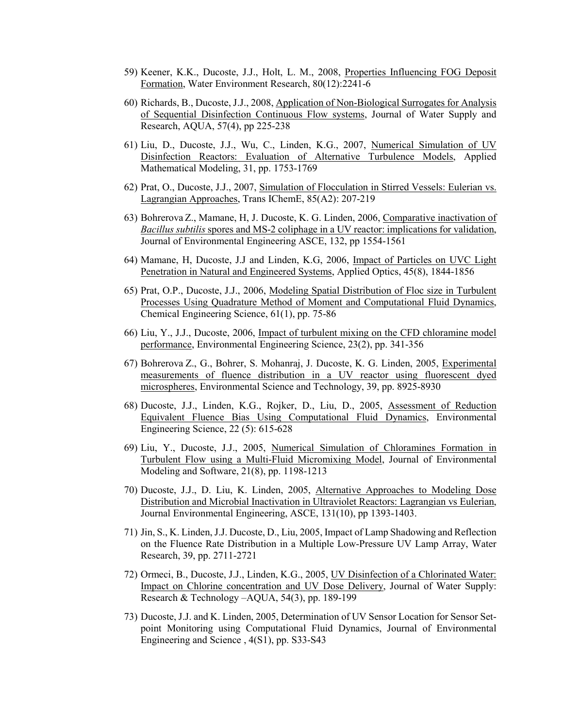- 59) Keener, K.K., Ducoste, J.J., Holt, L. M., 2008, Properties Influencing FOG Deposit Formation, Water Environment Research, 80(12):2241-6
- 60) Richards, B., Ducoste, J.J., 2008, Application of Non-Biological Surrogates for Analysis of Sequential Disinfection Continuous Flow systems, Journal of Water Supply and Research, AQUA, 57(4), pp 225-238
- 61) Liu, D., Ducoste, J.J., Wu, C., Linden, K.G., 2007, Numerical Simulation of UV Disinfection Reactors: Evaluation of Alternative Turbulence Models, Applied Mathematical Modeling, 31, pp. 1753-1769
- 62) Prat, O., Ducoste, J.J., 2007, Simulation of Flocculation in Stirred Vessels: Eulerian vs. Lagrangian Approaches, Trans IChemE, 85(A2): 207-219
- 63) Bohrerova Z., Mamane, H, J. Ducoste, K. G. Linden, 2006, Comparative inactivation of *Bacillus subtilis* spores and MS-2 coliphage in a UV reactor: implications for validation, Journal of Environmental Engineering ASCE, 132, pp 1554-1561
- 64) Mamane, H, Ducoste, J.J and Linden, K.G, 2006, Impact of Particles on UVC Light Penetration in Natural and Engineered Systems, Applied Optics, 45(8), 1844-1856
- 65) Prat, O.P., Ducoste, J.J., 2006, Modeling Spatial Distribution of Floc size in Turbulent Processes Using Quadrature Method of Moment and Computational Fluid Dynamics, Chemical Engineering Science, 61(1), pp. 75-86
- 66) Liu, Y., J.J., Ducoste, 2006, Impact of turbulent mixing on the CFD chloramine model performance, Environmental Engineering Science, 23(2), pp. 341-356
- 67) Bohrerova Z., G., Bohrer, S. Mohanraj, J. Ducoste, K. G. Linden, 2005, Experimental measurements of fluence distribution in a UV reactor using fluorescent dyed microspheres, Environmental Science and Technology, 39, pp. 8925-8930
- 68) Ducoste, J.J., Linden, K.G., Rojker, D., Liu, D., 2005, Assessment of Reduction Equivalent Fluence Bias Using Computational Fluid Dynamics, Environmental Engineering Science, 22 (5): 615-628
- 69) Liu, Y., Ducoste, J.J., 2005, Numerical Simulation of Chloramines Formation in Turbulent Flow using a Multi-Fluid Micromixing Model, Journal of Environmental Modeling and Software, 21(8), pp. 1198-1213
- 70) Ducoste, J.J., D. Liu, K. Linden, 2005, Alternative Approaches to Modeling Dose Distribution and Microbial Inactivation in Ultraviolet Reactors: Lagrangian vs Eulerian, Journal Environmental Engineering, ASCE, 131(10), pp 1393-1403.
- 71) Jin, S., K. Linden, J.J. Ducoste, D., Liu, 2005, Impact of Lamp Shadowing and Reflection on the Fluence Rate Distribution in a Multiple Low-Pressure UV Lamp Array, Water Research, 39, pp. 2711-2721
- 72) Ormeci, B., Ducoste, J.J., Linden, K.G., 2005, UV Disinfection of a Chlorinated Water: Impact on Chlorine concentration and UV Dose Delivery, Journal of Water Supply: Research & Technology –AQUA, 54(3), pp. 189-199
- 73) Ducoste, J.J. and K. Linden, 2005, Determination of UV Sensor Location for Sensor Setpoint Monitoring using Computational Fluid Dynamics, Journal of Environmental Engineering and Science , 4(S1), pp. S33-S43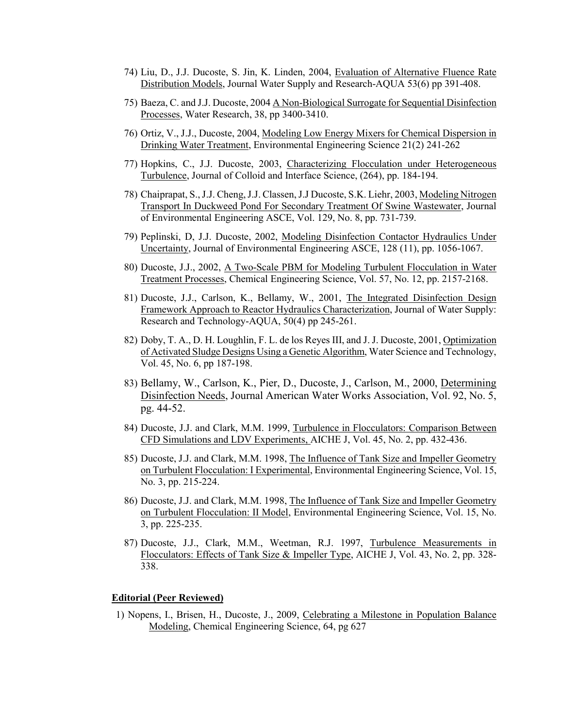- 74) Liu, D., J.J. Ducoste, S. Jin, K. Linden, 2004, Evaluation of Alternative Fluence Rate Distribution Models, Journal Water Supply and Research-AQUA 53(6) pp 391-408.
- 75) Baeza, C. and J.J. Ducoste, 2004 A Non-Biological Surrogate for Sequential Disinfection Processes, Water Research, 38, pp 3400-3410.
- 76) Ortiz, V., J.J., Ducoste, 2004, Modeling Low Energy Mixers for Chemical Dispersion in Drinking Water Treatment, Environmental Engineering Science 21(2) 241-262
- 77) Hopkins, C., J.J. Ducoste, 2003, Characterizing Flocculation under Heterogeneous Turbulence, Journal of Colloid and Interface Science, (264), pp. 184-194.
- 78) Chaiprapat, S., J.J. Cheng, J.J. Classen, J.J Ducoste, S.K. Liehr, 2003, Modeling Nitrogen Transport In Duckweed Pond For Secondary Treatment Of Swine Wastewater, Journal of Environmental Engineering ASCE, Vol. 129, No. 8, pp. 731-739.
- 79) Peplinski, D, J.J. Ducoste, 2002, Modeling Disinfection Contactor Hydraulics Under Uncertainty, Journal of Environmental Engineering ASCE, 128 (11), pp. 1056-1067.
- 80) Ducoste, J.J., 2002, A Two-Scale PBM for Modeling Turbulent Flocculation in Water Treatment Processes, Chemical Engineering Science, Vol. 57, No. 12, pp. 2157-2168.
- 81) Ducoste, J.J., Carlson, K., Bellamy, W., 2001, The Integrated Disinfection Design Framework Approach to Reactor Hydraulics Characterization, Journal of Water Supply: Research and Technology-AQUA, 50(4) pp 245-261.
- 82) Doby, T. A., D. H. Loughlin, F. L. de los Reyes III, and J. J. Ducoste, 2001, Optimization of Activated Sludge Designs Using a Genetic Algorithm, Water Science and Technology, Vol. 45, No. 6, pp 187-198.
- 83) Bellamy, W., Carlson, K., Pier, D., Ducoste, J., Carlson, M., 2000, Determining Disinfection Needs, Journal American Water Works Association, Vol. 92, No. 5, pg. 44-52.
- 84) Ducoste, J.J. and Clark, M.M. 1999, Turbulence in Flocculators: Comparison Between CFD Simulations and LDV Experiments, AICHE J, Vol. 45, No. 2, pp. 432-436.
- 85) Ducoste, J.J. and Clark, M.M. 1998, The Influence of Tank Size and Impeller Geometry on Turbulent Flocculation: I Experimental, Environmental Engineering Science, Vol. 15, No. 3, pp. 215-224.
- 86) Ducoste, J.J. and Clark, M.M. 1998, The Influence of Tank Size and Impeller Geometry on Turbulent Flocculation: II Model, Environmental Engineering Science, Vol. 15, No. 3, pp. 225-235.
- 87) Ducoste, J.J., Clark, M.M., Weetman, R.J. 1997, Turbulence Measurements in Flocculators: Effects of Tank Size & Impeller Type, AICHE J, Vol. 43, No. 2, pp. 328- 338.

#### **Editorial (Peer Reviewed)**

1) Nopens, I., Brisen, H., Ducoste, J., 2009, Celebrating a Milestone in Population Balance Modeling, Chemical Engineering Science, 64, pg 627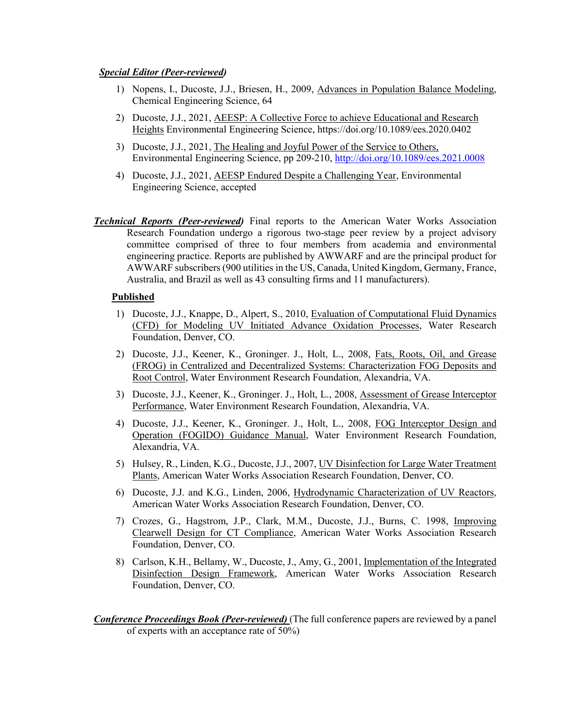#### *Special Editor (Peer-reviewed)*

- 1) Nopens, I., Ducoste, J.J., Briesen, H., 2009, Advances in Population Balance Modeling, Chemical Engineering Science, 64
- 2) Ducoste, J.J., 2021, AEESP: A Collective Force to achieve Educational and Research Heights Environmental Engineering Science, https://doi.org/10.1089/ees.2020.0402
- 3) Ducoste, J.J., 2021, The Healing and Joyful Power of the Service to Others, Environmental Engineering Science, pp 209-210,<http://doi.org/10.1089/ees.2021.0008>
- 4) Ducoste, J.J., 2021, AEESP Endured Despite a Challenging Year, Environmental Engineering Science, accepted
- *Technical Reports (Peer-reviewed)* Final reports to the American Water Works Association Research Foundation undergo a rigorous two-stage peer review by a project advisory committee comprised of three to four members from academia and environmental engineering practice. Reports are published by AWWARF and are the principal product for AWWARF subscribers (900 utilities in the US, Canada, United Kingdom, Germany, France, Australia, and Brazil as well as 43 consulting firms and 11 manufacturers).

#### **Published**

- 1) Ducoste, J.J., Knappe, D., Alpert, S., 2010, Evaluation of Computational Fluid Dynamics (CFD) for Modeling UV Initiated Advance Oxidation Processes, Water Research Foundation, Denver, CO.
- 2) Ducoste, J.J., Keener, K., Groninger. J., Holt, L., 2008, Fats, Roots, Oil, and Grease (FROG) in Centralized and Decentralized Systems: Characterization FOG Deposits and Root Control, Water Environment Research Foundation, Alexandria, VA.
- 3) Ducoste, J.J., Keener, K., Groninger. J., Holt, L., 2008, Assessment of Grease Interceptor Performance, Water Environment Research Foundation, Alexandria, VA.
- 4) Ducoste, J.J., Keener, K., Groninger. J., Holt, L., 2008, FOG Interceptor Design and Operation (FOGIDO) Guidance Manual, Water Environment Research Foundation, Alexandria, VA.
- 5) Hulsey, R., Linden, K.G., Ducoste, J.J., 2007, UV Disinfection for Large Water Treatment Plants, American Water Works Association Research Foundation, Denver, CO.
- 6) Ducoste, J.J. and K.G., Linden, 2006, Hydrodynamic Characterization of UV Reactors, American Water Works Association Research Foundation, Denver, CO.
- 7) Crozes, G., Hagstrom, J.P., Clark, M.M., Ducoste, J.J., Burns, C. 1998, Improving Clearwell Design for CT Compliance, American Water Works Association Research Foundation, Denver, CO.
- 8) Carlson, K.H., Bellamy, W., Ducoste, J., Amy, G., 2001, Implementation of the Integrated Disinfection Design Framework, American Water Works Association Research Foundation, Denver, CO.

*Conference Proceedings Book (Peer-reviewed)* (The full conference papers are reviewed by a panel of experts with an acceptance rate of 50%)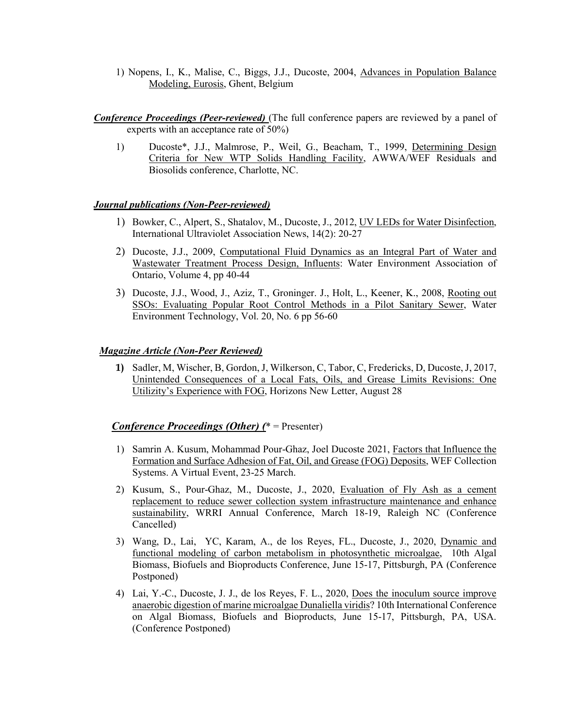1) Nopens, I., K., Malise, C., Biggs, J.J., Ducoste, 2004, Advances in Population Balance Modeling, Eurosis, Ghent, Belgium

*Conference Proceedings (Peer-reviewed)* (The full conference papers are reviewed by a panel of experts with an acceptance rate of 50%)

1) Ducoste\*, J.J., Malmrose, P., Weil, G., Beacham, T., 1999, Determining Design Criteria for New WTP Solids Handling Facility, AWWA/WEF Residuals and Biosolids conference, Charlotte, NC.

### *Journal publications (Non-Peer-reviewed)*

- 1) Bowker, C., Alpert, S., Shatalov, M., Ducoste, J., 2012, UV LEDs for Water Disinfection, International Ultraviolet Association News, 14(2): 20-27
- 2) Ducoste, J.J., 2009, Computational Fluid Dynamics as an Integral Part of Water and Wastewater Treatment Process Design, Influents: Water Environment Association of Ontario, Volume 4, pp 40-44
- 3) Ducoste, J.J., Wood, J., Aziz, T., Groninger. J., Holt, L., Keener, K., 2008, Rooting out SSOs: Evaluating Popular Root Control Methods in a Pilot Sanitary Sewer, Water Environment Technology, Vol. 20, No. 6 pp 56-60

### *Magazine Article (Non-Peer Reviewed)*

**1)** Sadler, M, Wischer, B, Gordon, J, Wilkerson, C, Tabor, C, Fredericks, D, Ducoste, J, 2017, Unintended Consequences of a Local Fats, Oils, and Grease Limits Revisions: One Utilizity's Experience with FOG, Horizons New Letter, August 28

# *Conference Proceedings (Other) (*\* = Presenter)

- 1) Samrin A. Kusum, Mohammad Pour-Ghaz, Joel Ducoste 2021, Factors that Influence the Formation and Surface Adhesion of Fat, Oil, and Grease (FOG) Deposits, WEF Collection Systems. A Virtual Event, 23-25 March.
- 2) Kusum, S., Pour-Ghaz, M., Ducoste, J., 2020, Evaluation of Fly Ash as a cement replacement to reduce sewer collection system infrastructure maintenance and enhance sustainability, WRRI Annual Conference, March 18-19, Raleigh NC (Conference Cancelled)
- 3) Wang, D., Lai, YC, Karam, A., de los Reyes, FL., Ducoste, J., 2020, Dynamic and functional modeling of carbon metabolism in photosynthetic microalgae, 10th Algal Biomass, Biofuels and Bioproducts Conference, June 15-17, Pittsburgh, PA (Conference Postponed)
- 4) Lai, Y.-C., Ducoste, J. J., de los Reyes, F. L., 2020, Does the inoculum source improve anaerobic digestion of marine microalgae Dunaliella viridis? 10th International Conference on Algal Biomass, Biofuels and Bioproducts, June 15-17, Pittsburgh, PA, USA. (Conference Postponed)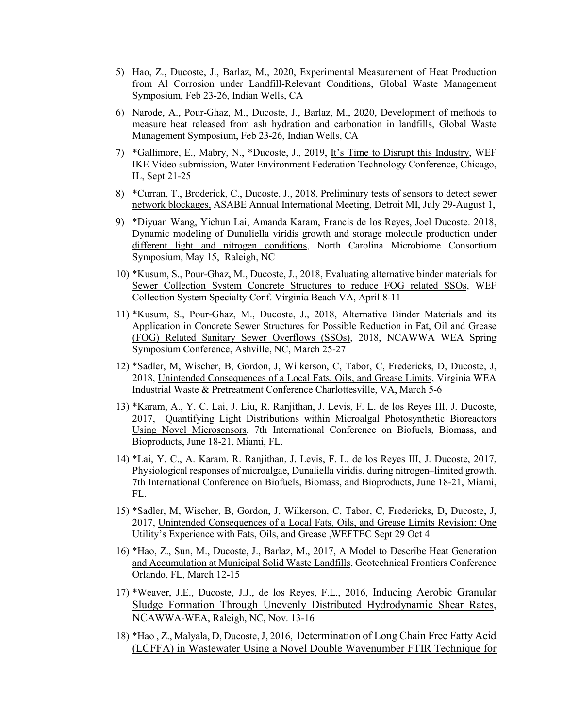- 5) Hao, Z., Ducoste, J., Barlaz, M., 2020, Experimental Measurement of Heat Production from Al Corrosion under Landfill-Relevant Conditions, Global Waste Management Symposium, Feb 23-26, Indian Wells, CA
- 6) Narode, A., Pour-Ghaz, M., Ducoste, J., Barlaz, M., 2020, Development of methods to measure heat released from ash hydration and carbonation in landfills, Global Waste Management Symposium, Feb 23-26, Indian Wells, CA
- 7) \*Gallimore, E., Mabry, N., \*Ducoste, J., 2019, It's Time to Disrupt this Industry, WEF IKE Video submission, Water Environment Federation Technology Conference, Chicago, IL, Sept 21-25
- 8) \*Curran, T., Broderick, C., Ducoste, J., 2018, Preliminary tests of sensors to detect sewer network blockages, ASABE Annual International Meeting, Detroit MI, July 29-August 1,
- 9) \*Diyuan Wang, Yichun Lai, Amanda Karam, Francis de los Reyes, Joel Ducoste. 2018, Dynamic modeling of Dunaliella viridis growth and storage molecule production under different light and nitrogen conditions, North Carolina Microbiome Consortium Symposium, May 15, Raleigh, NC
- 10) \*Kusum, S., Pour-Ghaz, M., Ducoste, J., 2018, Evaluating alternative binder materials for Sewer Collection System Concrete Structures to reduce FOG related SSOs, WEF Collection System Specialty Conf. Virginia Beach VA, April 8-11
- 11) \*Kusum, S., Pour-Ghaz, M., Ducoste, J., 2018, Alternative Binder Materials and its Application in Concrete Sewer Structures for Possible Reduction in Fat, Oil and Grease (FOG) Related Sanitary Sewer Overflows (SSOs), 2018, NCAWWA WEA Spring Symposium Conference, Ashville, NC, March 25-27
- 12) \*Sadler, M, Wischer, B, Gordon, J, Wilkerson, C, Tabor, C, Fredericks, D, Ducoste, J, 2018, Unintended Consequences of a Local Fats, Oils, and Grease Limits, Virginia WEA Industrial Waste & Pretreatment Conference Charlottesville, VA, March 5-6
- 13) \*Karam, A., Y. C. Lai, J. Liu, R. Ranjithan, J. Levis, F. L. de los Reyes III, J. Ducoste, 2017, Quantifying Light Distributions within Microalgal Photosynthetic Bioreactors Using Novel Microsensors. 7th International Conference on Biofuels, Biomass, and Bioproducts, June 18-21, Miami, FL.
- 14) \*Lai, Y. C., A. Karam, R. Ranjithan, J. Levis, F. L. de los Reyes III, J. Ducoste, 2017, Physiological responses of microalgae, Dunaliella viridis, during nitrogen–limited growth. 7th International Conference on Biofuels, Biomass, and Bioproducts, June 18-21, Miami, FL.
- 15) \*Sadler, M, Wischer, B, Gordon, J, Wilkerson, C, Tabor, C, Fredericks, D, Ducoste, J, 2017, Unintended Consequences of a Local Fats, Oils, and Grease Limits Revision: One Utility's Experience with Fats, Oils, and Grease ,WEFTEC Sept 29 Oct 4
- 16) \*Hao, Z., Sun, M., Ducoste, J., Barlaz, M., 2017, A Model to Describe Heat Generation and Accumulation at Municipal Solid Waste Landfills, Geotechnical Frontiers Conference Orlando, FL, March 12-15
- 17) \*Weaver, J.E., Ducoste, J.J., de los Reyes, F.L., 2016, Inducing Aerobic Granular Sludge Formation Through Unevenly Distributed Hydrodynamic Shear Rates, NCAWWA-WEA, Raleigh, NC, Nov. 13-16
- 18) \*Hao , Z., Malyala, D, Ducoste, J, 2016, Determination of Long Chain Free Fatty Acid (LCFFA) in Wastewater Using a Novel Double Wavenumber FTIR Technique for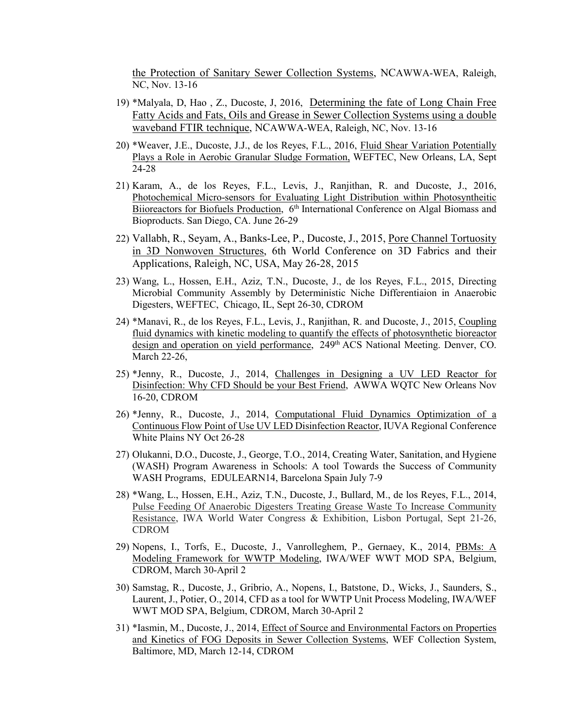the Protection of Sanitary Sewer Collection Systems, NCAWWA-WEA, Raleigh, NC, Nov. 13-16

- 19) \*Malyala, D, Hao , Z., Ducoste, J, 2016, Determining the fate of Long Chain Free Fatty Acids and Fats, Oils and Grease in Sewer Collection Systems using a double waveband FTIR technique, NCAWWA-WEA, Raleigh, NC, Nov. 13-16
- 20) \*Weaver, J.E., Ducoste, J.J., de los Reyes, F.L., 2016, Fluid Shear Variation Potentially Plays a Role in Aerobic Granular Sludge Formation, WEFTEC, New Orleans, LA, Sept 24-28
- 21) Karam, A., de los Reyes, F.L., Levis, J., Ranjithan, R. and Ducoste, J., 2016, Photochemical Micro-sensors for Evaluating Light Distribution within Photosyntheitic Biioreactors for Biofuels Production, 6<sup>th</sup> International Conference on Algal Biomass and Bioproducts. San Diego, CA. June 26-29
- 22) Vallabh, R., Seyam, A., Banks-Lee, P., Ducoste, J., 2015, Pore Channel Tortuosity in 3D Nonwoven Structures, 6th World Conference on 3D Fabrics and their Applications, Raleigh, NC, USA, May 26-28, 2015
- 23) Wang, L., Hossen, E.H., Aziz, T.N., Ducoste, J., de los Reyes, F.L., 2015, Directing Microbial Community Assembly by Deterministic Niche Differentiaion in Anaerobic Digesters, WEFTEC, Chicago, IL, Sept 26-30, CDROM
- 24) \*Manavi, R., de los Reyes, F.L., Levis, J., Ranjithan, R. and Ducoste, J., 2015, Coupling fluid dynamics with kinetic modeling to quantify the effects of photosynthetic bioreactor design and operation on yield performance, 249<sup>th</sup> ACS National Meeting. Denver, CO. March 22-26,
- 25) \*Jenny, R., Ducoste, J., 2014, Challenges in Designing a UV LED Reactor for Disinfection: Why CFD Should be your Best Friend, AWWA WQTC New Orleans Nov 16-20, CDROM
- 26) \*Jenny, R., Ducoste, J., 2014, Computational Fluid Dynamics Optimization of a Continuous Flow Point of Use UV LED Disinfection Reactor, IUVA Regional Conference White Plains NY Oct 26-28
- 27) Olukanni, D.O., Ducoste, J., George, T.O., 2014, Creating Water, Sanitation, and Hygiene (WASH) Program Awareness in Schools: A tool Towards the Success of Community WASH Programs, EDULEARN14, Barcelona Spain July 7-9
- 28) \*Wang, L., Hossen, E.H., Aziz, T.N., Ducoste, J., Bullard, M., de los Reyes, F.L., 2014, Pulse Feeding Of Anaerobic Digesters Treating Grease Waste To Increase Community Resistance, IWA World Water Congress & Exhibition, Lisbon Portugal, Sept 21-26, CDROM
- 29) Nopens, I., Torfs, E., Ducoste, J., Vanrolleghem, P., Gernaey, K., 2014, PBMs: A Modeling Framework for WWTP Modeling, IWA/WEF WWT MOD SPA, Belgium, CDROM, March 30-April 2
- 30) Samstag, R., Ducoste, J., Gribrio, A., Nopens, I., Batstone, D., Wicks, J., Saunders, S., Laurent, J., Potier, O., 2014, CFD as a tool for WWTP Unit Process Modeling, IWA/WEF WWT MOD SPA, Belgium, CDROM, March 30-April 2
- 31) \*Iasmin, M., Ducoste, J., 2014, Effect of Source and Environmental Factors on Properties and Kinetics of FOG Deposits in Sewer Collection Systems, WEF Collection System, Baltimore, MD, March 12-14, CDROM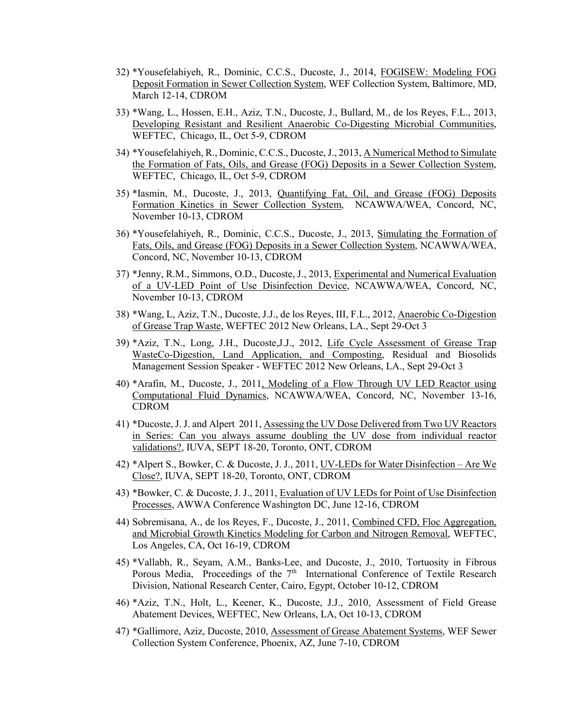- 32) \*Yousefelahiyeh, R., Dominic, C.C.S., Ducoste, J., 2014, FOGISEW: Modeling FOG Deposit Formation in Sewer Collection System, WEF Collection System, Baltimore, MD, March 12-14, CDROM
- 33) \*Wang, L., Hossen, E.H., Aziz, T.N., Ducoste, J., Bullard, M., de los Reyes, F.L., 2013, Developing Resistant and Resilient Anaerobic Co-Digesting Microbial Communities, WEFTEC, Chicago, IL, Oct 5-9, CDROM
- 34) \*Yousefelahiyeh, R., Dominic, C.C.S., Ducoste, J., 2013, A Numerical Method to Simulate the Formation of Fats, Oils, and Grease (FOG) Deposits in a Sewer Collection System, WEFTEC, Chicago, IL, Oct 5-9, CDROM
- 35) \*Iasmin, M., Ducoste, J., 2013, Quantifying Fat, Oil, and Grease (FOG) Deposits Formation Kinetics in Sewer Collection System, NCAWWA/WEA, Concord, NC, November 10-13, CDROM
- 36) \*Yousefelahiyeh, R., Dominic, C.C.S., Ducoste, J., 2013, Simulating the Formation of Fats, Oils, and Grease (FOG) Deposits in a Sewer Collection System, NCAWWA/WEA, Concord, NC, November 10-13, CDROM
- 37) \*Jenny, R.M., Simmons, O.D., Ducoste, J., 2013, Experimental and Numerical Evaluation of a UV-LED Point of Use Disinfection Device, NCAWWA/WEA, Concord, NC, November 10-13, CDROM
- 38) \*Wang, L, Aziz, T.N., Ducoste, J.J., de los Reyes, III, F.L., 2012, Anaerobic Co-Digestion of Grease Trap Waste, WEFTEC 2012 New Orleans, LA., Sept 29-Oct 3
- 39) \*Aziz, T.N., Long, J.H., Ducoste,J.J., 2012, Life Cycle Assessment of Grease Trap WasteCo-Digestion, Land Application, and Composting, Residual and Biosolids Management Session Speaker - WEFTEC 2012 New Orleans, LA., Sept 29-Oct 3
- 40) \*Arafin, M., Ducoste, J., 2011, Modeling of a Flow Through UV LED Reactor using Computational Fluid Dynamics, NCAWWA/WEA, Concord, NC, November 13-16, CDROM
- 41) \*Ducoste, J. J. and Alpert 2011, Assessing the UV Dose Delivered from Two UV Reactors in Series: Can you always assume doubling the UV dose from individual reactor validations?, IUVA, SEPT 18-20, Toronto, ONT, CDROM
- 42) \*Alpert S., Bowker, C. & Ducoste, J. J., 2011, UV-LEDs for Water Disinfection Are We Close?, IUVA, SEPT 18-20, Toronto, ONT, CDROM
- 43) \*Bowker, C. & Ducoste, J. J., 2011, Evaluation of UV LEDs for Point of Use Disinfection Processes, AWWA Conference Washington DC, June 12-16, CDROM
- 44) Sobremisana, A., de los Reyes, F., Ducoste, J., 2011, Combined CFD, Floc Aggregation, and Microbial Growth Kinetics Modeling for Carbon and Nitrogen Removal, WEFTEC, Los Angeles, CA, Oct 16-19, CDROM
- 45) \*Vallabh, R., Seyam, A.M., Banks-Lee, and Ducoste, J., 2010, Tortuosity in Fibrous Porous Media, Proceedings of the  $7<sup>th</sup>$  International Conference of Textile Research Division, National Research Center, Cairo, Egypt, October 10-12, CDROM
- 46) \*Aziz, T.N., Holt, L., Keener, K., Ducoste, J.J., 2010, Assessment of Field Grease Abatement Devices, WEFTEC, New Orleans, LA, Oct 10-13, CDROM
- 47) \*Gallimore, Aziz, Ducoste, 2010, Assessment of Grease Abatement Systems, WEF Sewer Collection System Conference, Phoenix, AZ, June 7-10, CDROM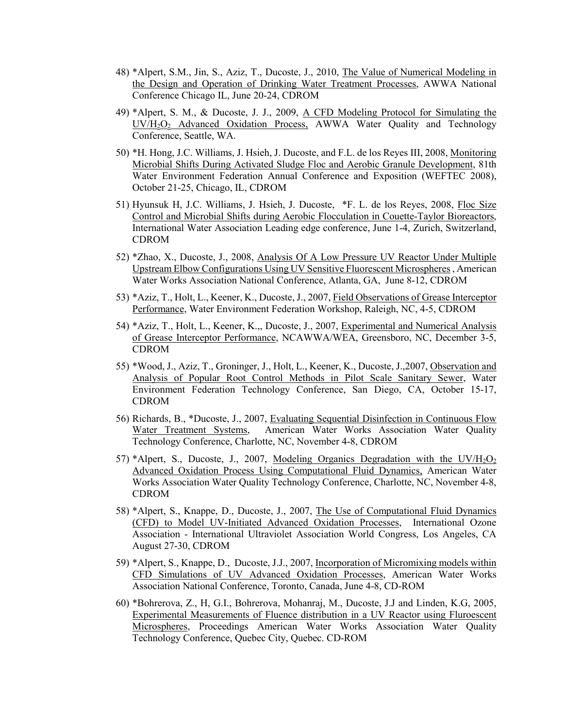- 48) \*Alpert, S.M., Jin, S., Aziz, T., Ducoste, J., 2010, The Value of Numerical Modeling in the Design and Operation of Drinking Water Treatment Processes, AWWA National Conference Chicago IL, June 20-24, CDROM
- 49) \*Alpert, S. M., & Ducoste, J. J., 2009, A CFD Modeling Protocol for Simulating the UV/H<sub>2</sub>O<sub>2</sub> Advanced Oxidation Process, AWWA Water Quality and Technology Conference, Seattle, WA.
- 50) \*H. Hong, J.C. Williams, J. Hsieh, J. Ducoste, and F.L. de los Reyes III, 2008, Monitoring Microbial Shifts During Activated Sludge Floc and Aerobic Granule Development, 81th Water Environment Federation Annual Conference and Exposition (WEFTEC 2008), October 21-25, Chicago, IL, CDROM
- 51) Hyunsuk H, J.C. Williams, J. Hsieh, J. Ducoste, \*F. L. de los Reyes, 2008, Floc Size Control and Microbial Shifts during Aerobic Flocculation in Couette-Taylor Bioreactors, International Water Association Leading edge conference, June 1-4, Zurich, Switzerland, CDROM
- 52) \*Zhao, X., Ducoste, J., 2008, Analysis Of A Low Pressure UV Reactor Under Multiple Upstream Elbow Configurations Using UV Sensitive Fluorescent Microspheres, American Water Works Association National Conference, Atlanta, GA, June 8-12, CDROM
- 53) \*Aziz, T., Holt, L., Keener, K., Ducoste, J., 2007, Field Observations of Grease Interceptor Performance, Water Environment Federation Workshop, Raleigh, NC, 4-5, CDROM
- 54) \*Aziz, T., Holt, L., Keener, K.,, Ducoste, J., 2007, Experimental and Numerical Analysis of Grease Interceptor Performance, NCAWWA/WEA, Greensboro, NC, December 3-5, CDROM
- 55) \*Wood, J., Aziz, T., Groninger, J., Holt, L., Keener, K., Ducoste, J.,2007, Observation and Analysis of Popular Root Control Methods in Pilot Scale Sanitary Sewer, Water Environment Federation Technology Conference, San Diego, CA, October 15-17, CDROM
- 56) Richards, B., \*Ducoste, J., 2007, Evaluating Sequential Disinfection in Continuous Flow Water Treatment Systems, American Water Works Association Water Quality Technology Conference, Charlotte, NC, November 4-8, CDROM
- 57) \*Alpert, S., Ducoste, J., 2007, Modeling Organics Degradation with the UV/ $H_2O_2$ Advanced Oxidation Process Using Computational Fluid Dynamics, American Water Works Association Water Quality Technology Conference, Charlotte, NC, November 4-8, CDROM
- 58) \*Alpert, S., Knappe, D., Ducoste, J., 2007, The Use of Computational Fluid Dynamics (CFD) to Model UV-Initiated Advanced Oxidation Processes, International Ozone Association - International Ultraviolet Association World Congress, Los Angeles, CA August 27-30, CDROM
- 59) \*Alpert, S., Knappe, D., Ducoste, J.J., 2007, Incorporation of Micromixing models within CFD Simulations of UV Advanced Oxidation Processes, American Water Works Association National Conference, Toronto, Canada, June 4-8, CD-ROM
- 60) \*Bohrerova, Z., H, G.I., Bohrerova, Mohanraj, M., Ducoste, J.J and Linden, K.G, 2005, Experimental Measurements of Fluence distribution in a UV Reactor using Fluroescent Microspheres, Proceedings American Water Works Association Water Quality Technology Conference, Quebec City, Quebec. CD-ROM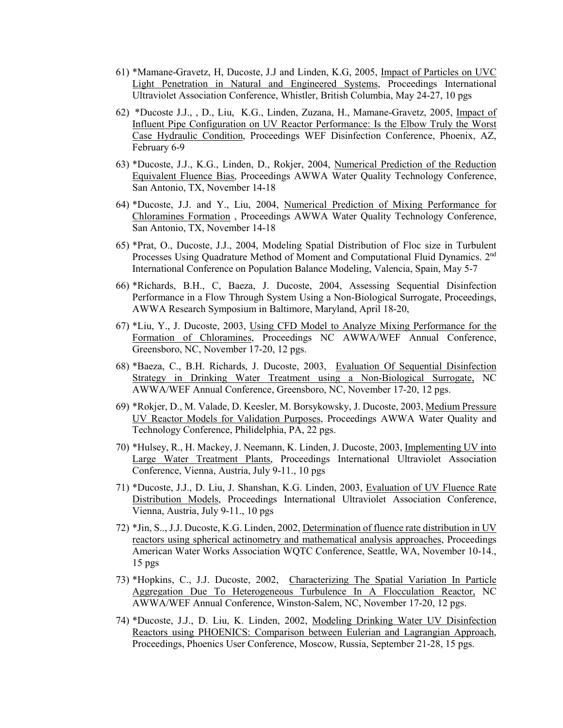- 61) \*Mamane-Gravetz, H, Ducoste, J.J and Linden, K.G, 2005, Impact of Particles on UVC Light Penetration in Natural and Engineered Systems, Proceedings International Ultraviolet Association Conference, Whistler, British Columbia, May 24-27, 10 pgs
- 62) \*Ducoste J.J., , D., Liu, K.G., Linden, Zuzana, H., Mamane-Gravetz, 2005, Impact of Influent Pipe Configuration on UV Reactor Performance: Is the Elbow Truly the Worst Case Hydraulic Condition, Proceedings WEF Disinfection Conference, Phoenix, AZ, February 6-9
- 63) \*Ducoste, J.J., K.G., Linden, D., Rokjer, 2004, Numerical Prediction of the Reduction Equivalent Fluence Bias, Proceedings AWWA Water Quality Technology Conference, San Antonio, TX, November 14-18
- 64) \*Ducoste, J.J. and Y., Liu, 2004, Numerical Prediction of Mixing Performance for Chloramines Formation , Proceedings AWWA Water Quality Technology Conference, San Antonio, TX, November 14-18
- 65) \*Prat, O., Ducoste, J.J., 2004, Modeling Spatial Distribution of Floc size in Turbulent Processes Using Quadrature Method of Moment and Computational Fluid Dynamics. 2<sup>nd</sup> International Conference on Population Balance Modeling, Valencia, Spain, May 5-7
- 66) \*Richards, B.H., C, Baeza, J. Ducoste, 2004, Assessing Sequential Disinfection Performance in a Flow Through System Using a Non-Biological Surrogate, Proceedings, AWWA Research Symposium in Baltimore, Maryland, April 18-20,
- 67) \*Liu, Y., J. Ducoste, 2003, Using CFD Model to Analyze Mixing Performance for the Formation of Chloramines, Proceedings NC AWWA/WEF Annual Conference, Greensboro, NC, November 17-20, 12 pgs.
- 68) \*Baeza, C., B.H. Richards, J. Ducoste, 2003, Evaluation Of Sequential Disinfection Strategy in Drinking Water Treatment using a Non-Biological Surrogate, NC AWWA/WEF Annual Conference, Greensboro, NC, November 17-20, 12 pgs.
- 69) \*Rokjer, D., M. Valade, D. Keesler, M. Borsykowsky, J. Ducoste, 2003, Medium Pressure UV Reactor Models for Validation Purposes, Proceedings AWWA Water Quality and Technology Conference, Philidelphia, PA, 22 pgs.
- 70) \*Hulsey, R., H. Mackey, J. Neemann, K. Linden, J. Ducoste, 2003, Implementing UV into Large Water Treatment Plants, Proceedings International Ultraviolet Association Conference, Vienna, Austria, July 9-11., 10 pgs
- 71) \*Ducoste, J.J., D. Liu, J. Shanshan, K.G. Linden, 2003, Evaluation of UV Fluence Rate Distribution Models, Proceedings International Ultraviolet Association Conference, Vienna, Austria, July 9-11., 10 pgs
- 72) \*Jin, S.., J.J. Ducoste, K.G. Linden, 2002, Determination of fluence rate distribution in UV reactors using spherical actinometry and mathematical analysis approaches, Proceedings American Water Works Association WQTC Conference, Seattle, WA, November 10-14., 15 pgs
- 73) \*Hopkins, C., J.J. Ducoste, 2002, Characterizing The Spatial Variation In Particle Aggregation Due To Heterogeneous Turbulence In A Flocculation Reactor, NC AWWA/WEF Annual Conference, Winston-Salem, NC, November 17-20, 12 pgs.
- 74) \*Ducoste, J.J., D. Liu, K. Linden, 2002, Modeling Drinking Water UV Disinfection Reactors using PHOENICS: Comparison between Eulerian and Lagrangian Approach, Proceedings, Phoenics User Conference, Moscow, Russia, September 21-28, 15 pgs.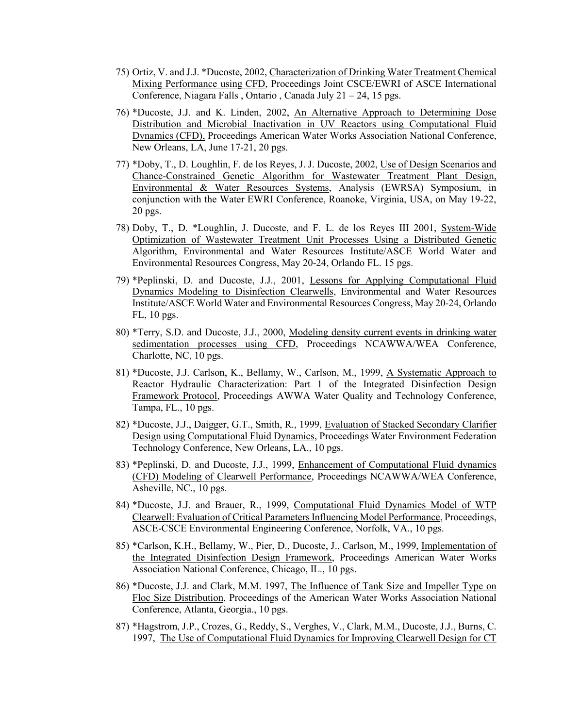- 75) Ortiz, V. and J.J. \*Ducoste, 2002, Characterization of Drinking Water Treatment Chemical Mixing Performance using CFD, Proceedings Joint CSCE/EWRI of ASCE International Conference, Niagara Falls , Ontario , Canada July 21 – 24, 15 pgs.
- 76) \*Ducoste, J.J. and K. Linden, 2002, An Alternative Approach to Determining Dose Distribution and Microbial Inactivation in UV Reactors using Computational Fluid Dynamics (CFD), Proceedings American Water Works Association National Conference, New Orleans, LA, June 17-21, 20 pgs.
- 77) \*Doby, T., D. Loughlin, F. de los Reyes, J. J. Ducoste, 2002, Use of Design Scenarios and Chance-Constrained Genetic Algorithm for Wastewater Treatment Plant Design, Environmental & Water Resources Systems, Analysis (EWRSA) Symposium, in conjunction with the Water EWRI Conference, Roanoke, Virginia, USA, on May 19-22, 20 pgs.
- 78) Doby, T., D. \*Loughlin, J. Ducoste, and F. L. de los Reyes III 2001, System-Wide Optimization of Wastewater Treatment Unit Processes Using a Distributed Genetic Algorithm, Environmental and Water Resources Institute/ASCE World Water and Environmental Resources Congress, May 20-24, Orlando FL. 15 pgs.
- 79) \*Peplinski, D. and Ducoste, J.J., 2001, Lessons for Applying Computational Fluid Dynamics Modeling to Disinfection Clearwells, Environmental and Water Resources Institute/ASCE World Water and Environmental Resources Congress, May 20-24, Orlando FL, 10 pgs.
- 80) \*Terry, S.D. and Ducoste, J.J., 2000, Modeling density current events in drinking water sedimentation processes using CFD, Proceedings NCAWWA/WEA Conference, Charlotte, NC, 10 pgs.
- 81) \*Ducoste, J.J. Carlson, K., Bellamy, W., Carlson, M., 1999, A Systematic Approach to Reactor Hydraulic Characterization: Part 1 of the Integrated Disinfection Design Framework Protocol, Proceedings AWWA Water Quality and Technology Conference, Tampa, FL., 10 pgs.
- 82) \*Ducoste, J.J., Daigger, G.T., Smith, R., 1999, Evaluation of Stacked Secondary Clarifier Design using Computational Fluid Dynamics, Proceedings Water Environment Federation Technology Conference, New Orleans, LA., 10 pgs.
- 83) \*Peplinski, D. and Ducoste, J.J., 1999, Enhancement of Computational Fluid dynamics (CFD) Modeling of Clearwell Performance, Proceedings NCAWWA/WEA Conference, Asheville, NC., 10 pgs.
- 84) \*Ducoste, J.J. and Brauer, R., 1999, Computational Fluid Dynamics Model of WTP Clearwell: Evaluation of Critical Parameters Influencing Model Performance, Proceedings, ASCE-CSCE Environmental Engineering Conference, Norfolk, VA., 10 pgs.
- 85) \*Carlson, K.H., Bellamy, W., Pier, D., Ducoste, J., Carlson, M., 1999, Implementation of the Integrated Disinfection Design Framework, Proceedings American Water Works Association National Conference, Chicago, IL., 10 pgs.
- 86) \*Ducoste, J.J. and Clark, M.M. 1997, The Influence of Tank Size and Impeller Type on Floc Size Distribution, Proceedings of the American Water Works Association National Conference, Atlanta, Georgia., 10 pgs.
- 87) \*Hagstrom, J.P., Crozes, G., Reddy, S., Verghes, V., Clark, M.M., Ducoste, J.J., Burns, C. 1997, The Use of Computational Fluid Dynamics for Improving Clearwell Design for CT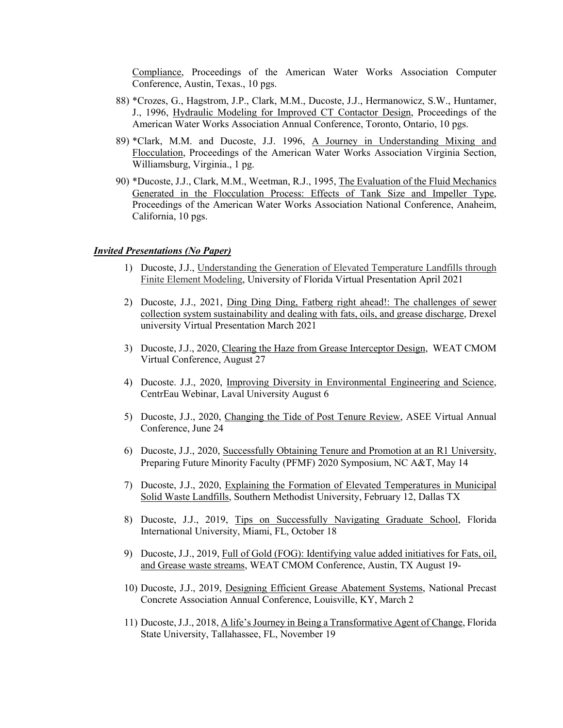Compliance, Proceedings of the American Water Works Association Computer Conference, Austin, Texas., 10 pgs.

- 88) \*Crozes, G., Hagstrom, J.P., Clark, M.M., Ducoste, J.J., Hermanowicz, S.W., Huntamer, J., 1996, Hydraulic Modeling for Improved CT Contactor Design, Proceedings of the American Water Works Association Annual Conference, Toronto, Ontario, 10 pgs.
- 89) \*Clark, M.M. and Ducoste, J.J. 1996, A Journey in Understanding Mixing and Flocculation, Proceedings of the American Water Works Association Virginia Section, Williamsburg, Virginia., 1 pg.
- 90) \*Ducoste, J.J., Clark, M.M., Weetman, R.J., 1995, The Evaluation of the Fluid Mechanics Generated in the Flocculation Process: Effects of Tank Size and Impeller Type, Proceedings of the American Water Works Association National Conference, Anaheim, California, 10 pgs.

#### *Invited Presentations (No Paper)*

- 1) Ducoste, J.J., Understanding the Generation of Elevated Temperature Landfills through Finite Element Modeling, University of Florida Virtual Presentation April 2021
- 2) Ducoste, J.J., 2021, Ding Ding Ding, Fatberg right ahead!: The challenges of sewer collection system sustainability and dealing with fats, oils, and grease discharge, Drexel university Virtual Presentation March 2021
- 3) Ducoste, J.J., 2020, Clearing the Haze from Grease Interceptor Design, WEAT CMOM Virtual Conference, August 27
- 4) Ducoste. J.J., 2020, Improving Diversity in Environmental Engineering and Science, CentrEau Webinar, Laval University August 6
- 5) Ducoste, J.J., 2020, Changing the Tide of Post Tenure Review, ASEE Virtual Annual Conference, June 24
- 6) Ducoste, J.J., 2020, Successfully Obtaining Tenure and Promotion at an R1 University, Preparing Future Minority Faculty (PFMF) 2020 Symposium, NC A&T, May 14
- 7) Ducoste, J.J., 2020, Explaining the Formation of Elevated Temperatures in Municipal Solid Waste Landfills, Southern Methodist University, February 12, Dallas TX
- 8) Ducoste, J.J., 2019, Tips on Successfully Navigating Graduate School, Florida International University, Miami, FL, October 18
- 9) Ducoste, J.J., 2019, Full of Gold (FOG): Identifying value added initiatives for Fats, oil, and Grease waste streams, WEAT CMOM Conference, Austin, TX August 19-
- 10) Ducoste, J.J., 2019, Designing Efficient Grease Abatement Systems, National Precast Concrete Association Annual Conference, Louisville, KY, March 2
- 11) Ducoste, J.J., 2018, A life's Journey in Being a Transformative Agent of Change, Florida State University, Tallahassee, FL, November 19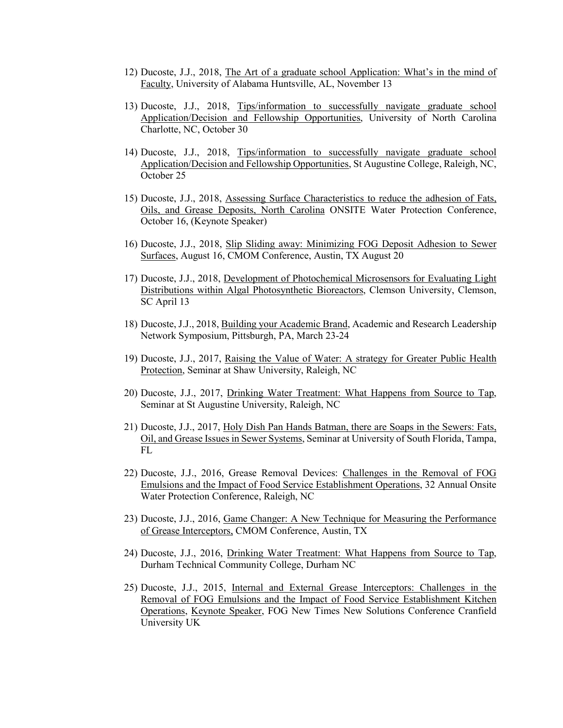- 12) Ducoste, J.J., 2018, The Art of a graduate school Application: What's in the mind of Faculty, University of Alabama Huntsville, AL, November 13
- 13) Ducoste, J.J., 2018, Tips/information to successfully navigate graduate school Application/Decision and Fellowship Opportunities, University of North Carolina Charlotte, NC, October 30
- 14) Ducoste, J.J., 2018, Tips/information to successfully navigate graduate school Application/Decision and Fellowship Opportunities, St Augustine College, Raleigh, NC, October 25
- 15) Ducoste, J.J., 2018, Assessing Surface Characteristics to reduce the adhesion of Fats, Oils, and Grease Deposits, North Carolina ONSITE Water Protection Conference, October 16, (Keynote Speaker)
- 16) Ducoste, J.J., 2018, Slip Sliding away: Minimizing FOG Deposit Adhesion to Sewer Surfaces, August 16, CMOM Conference, Austin, TX August 20
- 17) Ducoste, J.J., 2018, Development of Photochemical Microsensors for Evaluating Light Distributions within Algal Photosynthetic Bioreactors, Clemson University, Clemson, SC April 13
- 18) Ducoste, J.J., 2018, Building your Academic Brand, Academic and Research Leadership Network Symposium, Pittsburgh, PA, March 23-24
- 19) Ducoste, J.J., 2017, Raising the Value of Water: A strategy for Greater Public Health Protection, Seminar at Shaw University, Raleigh, NC
- 20) Ducoste, J.J., 2017, Drinking Water Treatment: What Happens from Source to Tap, Seminar at St Augustine University, Raleigh, NC
- 21) Ducoste, J.J., 2017, Holy Dish Pan Hands Batman, there are Soaps in the Sewers: Fats, Oil, and Grease Issues in Sewer Systems, Seminar at University of South Florida, Tampa, FL
- 22) Ducoste, J.J., 2016, Grease Removal Devices: Challenges in the Removal of FOG Emulsions and the Impact of Food Service Establishment Operations, 32 Annual Onsite Water Protection Conference, Raleigh, NC
- 23) Ducoste, J.J., 2016, Game Changer: A New Technique for Measuring the Performance of Grease Interceptors, CMOM Conference, Austin, TX
- 24) Ducoste, J.J., 2016, Drinking Water Treatment: What Happens from Source to Tap, Durham Technical Community College, Durham NC
- 25) Ducoste, J.J., 2015, Internal and External Grease Interceptors: Challenges in the Removal of FOG Emulsions and the Impact of Food Service Establishment Kitchen Operations, Keynote Speaker, FOG New Times New Solutions Conference Cranfield University UK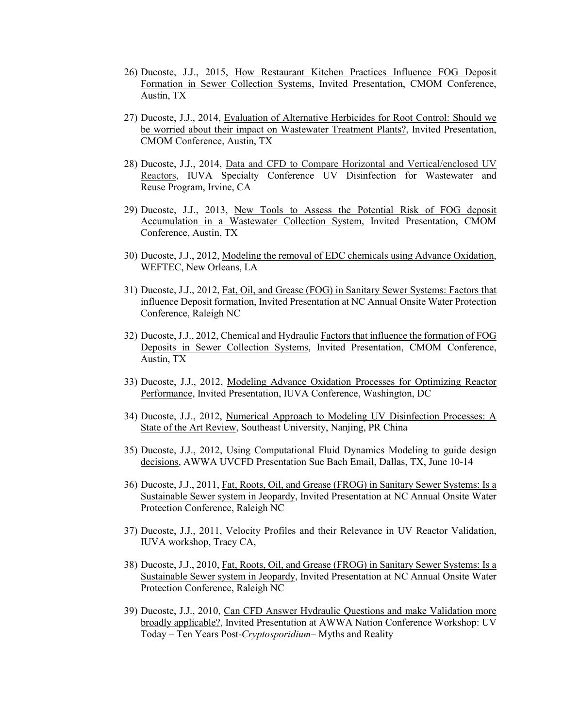- 26) Ducoste, J.J., 2015, How Restaurant Kitchen Practices Influence FOG Deposit Formation in Sewer Collection Systems, Invited Presentation, CMOM Conference, Austin, TX
- 27) Ducoste, J.J., 2014, Evaluation of Alternative Herbicides for Root Control: Should we be worried about their impact on Wastewater Treatment Plants?, Invited Presentation, CMOM Conference, Austin, TX
- 28) Ducoste, J.J., 2014, Data and CFD to Compare Horizontal and Vertical/enclosed UV Reactors, IUVA Specialty Conference UV Disinfection for Wastewater and Reuse Program, Irvine, CA
- 29) Ducoste, J.J., 2013, New Tools to Assess the Potential Risk of FOG deposit Accumulation in a Wastewater Collection System, Invited Presentation, CMOM Conference, Austin, TX
- 30) Ducoste, J.J., 2012, Modeling the removal of EDC chemicals using Advance Oxidation, WEFTEC, New Orleans, LA
- 31) Ducoste, J.J., 2012, Fat, Oil, and Grease (FOG) in Sanitary Sewer Systems: Factors that influence Deposit formation, Invited Presentation at NC Annual Onsite Water Protection Conference, Raleigh NC
- 32) Ducoste, J.J., 2012, Chemical and Hydraulic Factors that influence the formation of FOG Deposits in Sewer Collection Systems, Invited Presentation, CMOM Conference, Austin, TX
- 33) Ducoste, J.J., 2012, Modeling Advance Oxidation Processes for Optimizing Reactor Performance, Invited Presentation, IUVA Conference, Washington, DC
- 34) Ducoste, J.J., 2012, Numerical Approach to Modeling UV Disinfection Processes: A State of the Art Review, Southeast University, Nanjing, PR China
- 35) Ducoste, J.J., 2012, Using Computational Fluid Dynamics Modeling to guide design decisions, AWWA UVCFD Presentation Sue Bach Email, Dallas, TX, June 10-14
- 36) Ducoste, J.J., 2011, Fat, Roots, Oil, and Grease (FROG) in Sanitary Sewer Systems: Is a Sustainable Sewer system in Jeopardy, Invited Presentation at NC Annual Onsite Water Protection Conference, Raleigh NC
- 37) Ducoste, J.J., 2011, Velocity Profiles and their Relevance in UV Reactor Validation, IUVA workshop, Tracy CA,
- 38) Ducoste, J.J., 2010, Fat, Roots, Oil, and Grease (FROG) in Sanitary Sewer Systems: Is a Sustainable Sewer system in Jeopardy, Invited Presentation at NC Annual Onsite Water Protection Conference, Raleigh NC
- 39) Ducoste, J.J., 2010, Can CFD Answer Hydraulic Questions and make Validation more broadly applicable?, Invited Presentation at AWWA Nation Conference Workshop: UV Today – Ten Years Post-*Cryptosporidium*– Myths and Reality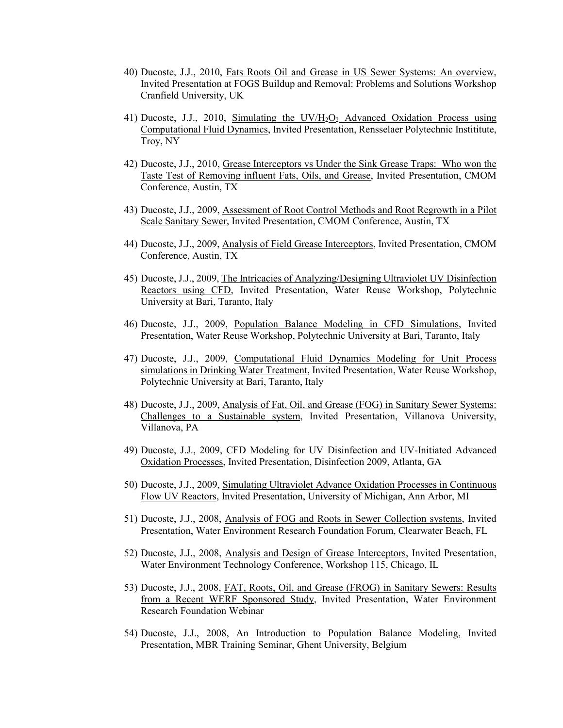- 40) Ducoste, J.J., 2010, Fats Roots Oil and Grease in US Sewer Systems: An overview, Invited Presentation at FOGS Buildup and Removal: Problems and Solutions Workshop Cranfield University, UK
- 41) Ducoste, J.J., 2010, Simulating the  $UV/H_2O_2$  Advanced Oxidation Process using Computational Fluid Dynamics, Invited Presentation, Rensselaer Polytechnic Instititute, Troy, NY
- 42) Ducoste, J.J., 2010, Grease Interceptors vs Under the Sink Grease Traps: Who won the Taste Test of Removing influent Fats, Oils, and Grease, Invited Presentation, CMOM Conference, Austin, TX
- 43) Ducoste, J.J., 2009, Assessment of Root Control Methods and Root Regrowth in a Pilot Scale Sanitary Sewer, Invited Presentation, CMOM Conference, Austin, TX
- 44) Ducoste, J.J., 2009, Analysis of Field Grease Interceptors, Invited Presentation, CMOM Conference, Austin, TX
- 45) Ducoste, J.J., 2009, The Intricacies of Analyzing/Designing Ultraviolet UV Disinfection Reactors using CFD, Invited Presentation, Water Reuse Workshop, Polytechnic University at Bari, Taranto, Italy
- 46) Ducoste, J.J., 2009, Population Balance Modeling in CFD Simulations, Invited Presentation, Water Reuse Workshop, Polytechnic University at Bari, Taranto, Italy
- 47) Ducoste, J.J., 2009, Computational Fluid Dynamics Modeling for Unit Process simulations in Drinking Water Treatment, Invited Presentation, Water Reuse Workshop, Polytechnic University at Bari, Taranto, Italy
- 48) Ducoste, J.J., 2009, Analysis of Fat, Oil, and Grease (FOG) in Sanitary Sewer Systems: Challenges to a Sustainable system, Invited Presentation, Villanova University, Villanova, PA
- 49) Ducoste, J.J., 2009, CFD Modeling for UV Disinfection and UV-Initiated Advanced Oxidation Processes, Invited Presentation, Disinfection 2009, Atlanta, GA
- 50) Ducoste, J.J., 2009, Simulating Ultraviolet Advance Oxidation Processes in Continuous Flow UV Reactors, Invited Presentation, University of Michigan, Ann Arbor, MI
- 51) Ducoste, J.J., 2008, Analysis of FOG and Roots in Sewer Collection systems, Invited Presentation, Water Environment Research Foundation Forum, Clearwater Beach, FL
- 52) Ducoste, J.J., 2008, Analysis and Design of Grease Interceptors, Invited Presentation, Water Environment Technology Conference, Workshop 115, Chicago, IL
- 53) Ducoste, J.J., 2008, FAT, Roots, Oil, and Grease (FROG) in Sanitary Sewers: Results from a Recent WERF Sponsored Study, Invited Presentation, Water Environment Research Foundation Webinar
- 54) Ducoste, J.J., 2008, An Introduction to Population Balance Modeling, Invited Presentation, MBR Training Seminar, Ghent University, Belgium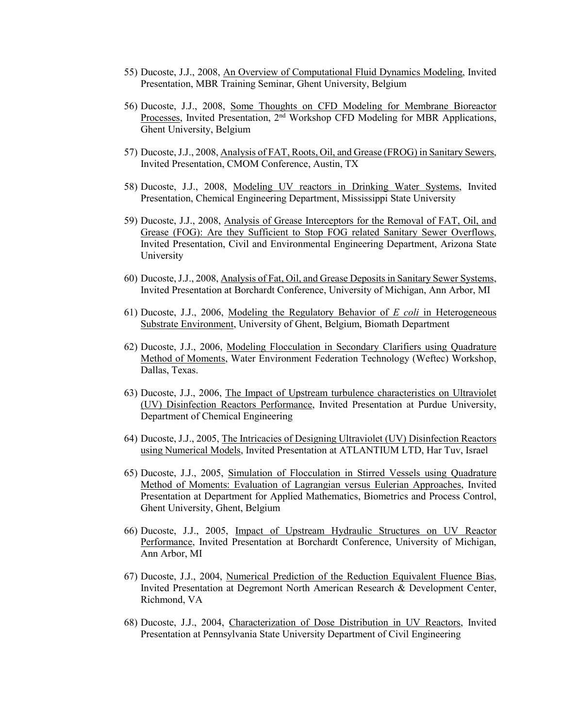- 55) Ducoste, J.J., 2008, An Overview of Computational Fluid Dynamics Modeling, Invited Presentation, MBR Training Seminar, Ghent University, Belgium
- 56) Ducoste, J.J., 2008, Some Thoughts on CFD Modeling for Membrane Bioreactor Processes, Invited Presentation, 2<sup>nd</sup> Workshop CFD Modeling for MBR Applications, Ghent University, Belgium
- 57) Ducoste, J.J., 2008, Analysis of FAT, Roots, Oil, and Grease (FROG) in Sanitary Sewers, Invited Presentation, CMOM Conference, Austin, TX
- 58) Ducoste, J.J., 2008, Modeling UV reactors in Drinking Water Systems, Invited Presentation, Chemical Engineering Department, Mississippi State University
- 59) Ducoste, J.J., 2008, Analysis of Grease Interceptors for the Removal of FAT, Oil, and Grease (FOG): Are they Sufficient to Stop FOG related Sanitary Sewer Overflows, Invited Presentation, Civil and Environmental Engineering Department, Arizona State University
- 60) Ducoste, J.J., 2008, Analysis of Fat, Oil, and Grease Deposits in Sanitary Sewer Systems, Invited Presentation at Borchardt Conference, University of Michigan, Ann Arbor, MI
- 61) Ducoste, J.J., 2006, Modeling the Regulatory Behavior of *E coli* in Heterogeneous Substrate Environment, University of Ghent, Belgium, Biomath Department
- 62) Ducoste, J.J., 2006, Modeling Flocculation in Secondary Clarifiers using Quadrature Method of Moments, Water Environment Federation Technology (Weftec) Workshop, Dallas, Texas.
- 63) Ducoste, J.J., 2006, The Impact of Upstream turbulence characteristics on Ultraviolet (UV) Disinfection Reactors Performance, Invited Presentation at Purdue University, Department of Chemical Engineering
- 64) Ducoste, J.J., 2005, The Intricacies of Designing Ultraviolet (UV) Disinfection Reactors using Numerical Models, Invited Presentation at ATLANTIUM LTD, Har Tuv, Israel
- 65) Ducoste, J.J., 2005, Simulation of Flocculation in Stirred Vessels using Quadrature Method of Moments: Evaluation of Lagrangian versus Eulerian Approaches, Invited Presentation at Department for Applied Mathematics, Biometrics and Process Control, Ghent University, Ghent, Belgium
- 66) Ducoste, J.J., 2005, Impact of Upstream Hydraulic Structures on UV Reactor Performance, Invited Presentation at Borchardt Conference, University of Michigan, Ann Arbor, MI
- 67) Ducoste, J.J., 2004, Numerical Prediction of the Reduction Equivalent Fluence Bias, Invited Presentation at Degremont North American Research & Development Center, Richmond, VA
- 68) Ducoste, J.J., 2004, Characterization of Dose Distribution in UV Reactors, Invited Presentation at Pennsylvania State University Department of Civil Engineering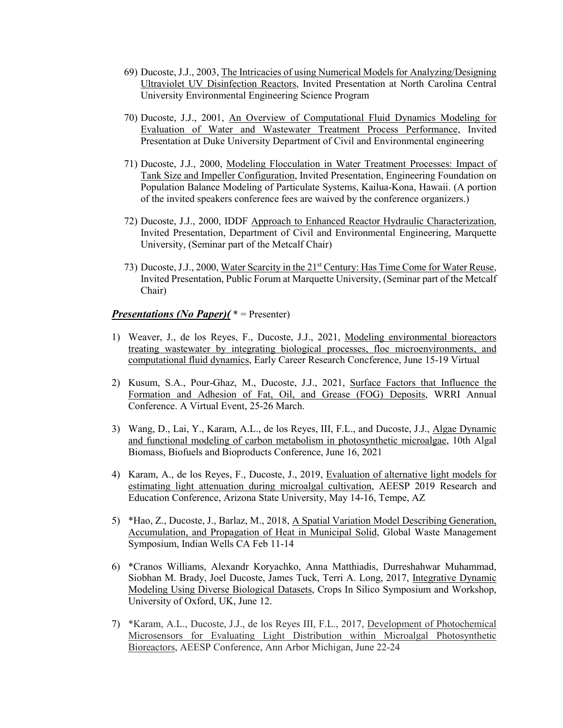- 69) Ducoste, J.J., 2003, The Intricacies of using Numerical Models for Analyzing/Designing Ultraviolet UV Disinfection Reactors, Invited Presentation at North Carolina Central University Environmental Engineering Science Program
- 70) Ducoste, J.J., 2001, An Overview of Computational Fluid Dynamics Modeling for Evaluation of Water and Wastewater Treatment Process Performance, Invited Presentation at Duke University Department of Civil and Environmental engineering
- 71) Ducoste, J.J., 2000, Modeling Flocculation in Water Treatment Processes: Impact of Tank Size and Impeller Configuration, Invited Presentation, Engineering Foundation on Population Balance Modeling of Particulate Systems, Kailua-Kona, Hawaii. (A portion of the invited speakers conference fees are waived by the conference organizers.)
- 72) Ducoste, J.J., 2000, IDDF Approach to Enhanced Reactor Hydraulic Characterization, Invited Presentation, Department of Civil and Environmental Engineering, Marquette University, (Seminar part of the Metcalf Chair)
- 73) Ducoste, J.J., 2000, Water Scarcity in the 21<sup>st</sup> Century: Has Time Come for Water Reuse, Invited Presentation, Public Forum at Marquette University, (Seminar part of the Metcalf Chair)

# *Presentations (No Paper)(* \* = Presenter)

- 1) Weaver, J., de los Reyes, F., Ducoste, J.J., 2021, Modeling environmental bioreactors treating wastewater by integrating biological processes, floc microenvironments, and computational fluid dynamics, Early Career Research Concference, June 15-19 Virtual
- 2) Kusum, S.A., Pour-Ghaz, M., Ducoste, J.J., 2021, Surface Factors that Influence the Formation and Adhesion of Fat, Oil, and Grease (FOG) Deposits, WRRI Annual Conference. A Virtual Event, 25-26 March.
- 3) Wang, D., Lai, Y., Karam, A.L., de los Reyes, III, F.L., and Ducoste, J.J., Algae Dynamic and functional modeling of carbon metabolism in photosynthetic microalgae, 10th Algal Biomass, Biofuels and Bioproducts Conference, June 16, 2021
- 4) Karam, A., de los Reyes, F., Ducoste, J., 2019, Evaluation of alternative light models for estimating light attenuation during microalgal cultivation, AEESP 2019 Research and Education Conference, Arizona State University, May 14-16, Tempe, AZ
- 5) \*Hao, Z., Ducoste, J., Barlaz, M., 2018, A Spatial Variation Model Describing Generation, Accumulation, and Propagation of Heat in Municipal Solid, Global Waste Management Symposium, Indian Wells CA Feb 11-14
- 6) \*Cranos Williams, Alexandr Koryachko, Anna Matthiadis, Durreshahwar Muhammad, Siobhan M. Brady, Joel Ducoste, James Tuck, Terri A. Long, 2017, Integrative Dynamic Modeling Using Diverse Biological Datasets, Crops In Silico Symposium and Workshop, University of Oxford, UK, June 12.
- 7) \*Karam, A.L., Ducoste, J.J., de los Reyes III, F.L., 2017, Development of Photochemical Microsensors for Evaluating Light Distribution within Microalgal Photosynthetic Bioreactors, AEESP Conference, Ann Arbor Michigan, June 22-24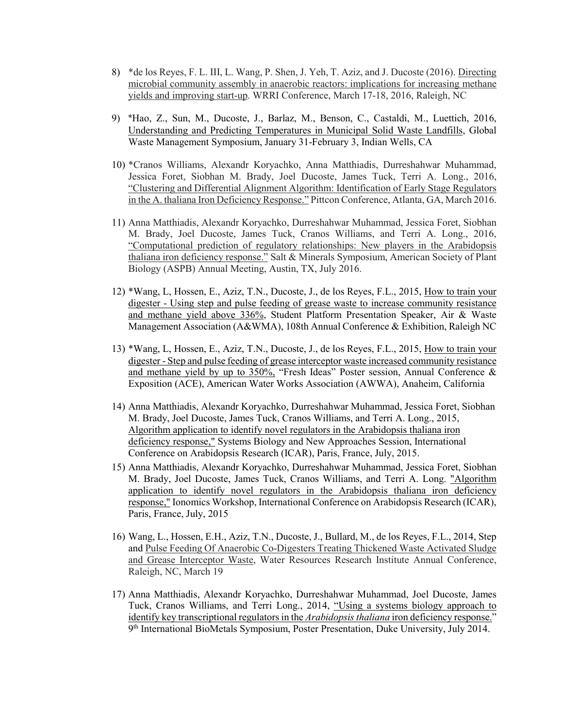- 8) \*de los Reyes, F. L. III, L. Wang, P. Shen, J. Yeh, T. Aziz, and J. Ducoste (2016). Directing microbial community assembly in anaerobic reactors: implications for increasing methane yields and improving start-up. WRRI Conference, March 17-18, 2016, Raleigh, NC
- 9) \*Hao, Z., Sun, M., Ducoste, J., Barlaz, M., Benson, C., Castaldi, M., Luettich, 2016, Understanding and Predicting Temperatures in Municipal Solid Waste Landfills, Global Waste Management Symposium, January 31-February 3, Indian Wells, CA
- 10) \*Cranos Williams, Alexandr Koryachko, Anna Matthiadis, Durreshahwar Muhammad, Jessica Foret, Siobhan M. Brady, Joel Ducoste, James Tuck, Terri A. Long., 2016, "Clustering and Differential Alignment Algorithm: Identification of Early Stage Regulators in the A. thaliana Iron Deficiency Response." Pittcon Conference, Atlanta, GA, March 2016.
- 11) Anna Matthiadis, Alexandr Koryachko, Durreshahwar Muhammad, Jessica Foret, Siobhan M. Brady, Joel Ducoste, James Tuck, Cranos Williams, and Terri A. Long., 2016, "Computational prediction of regulatory relationships: New players in the Arabidopsis thaliana iron deficiency response." Salt & Minerals Symposium, American Society of Plant Biology (ASPB) Annual Meeting, Austin, TX, July 2016.
- 12) \*Wang, L, Hossen, E., Aziz, T.N., Ducoste, J., de los Reyes, F.L., 2015, How to train your digester - Using step and pulse feeding of grease waste to increase community resistance and methane yield above 336%, Student Platform Presentation Speaker, Air & Waste Management Association (A&WMA), 108th Annual Conference & Exhibition, Raleigh NC
- 13) \*Wang, L, Hossen, E., Aziz, T.N., Ducoste, J., de los Reyes, F.L., 2015, How to train your digester - Step and pulse feeding of grease interceptor waste increased community resistance and methane yield by up to 350%, "Fresh Ideas" Poster session, Annual Conference & Exposition (ACE), American Water Works Association (AWWA), Anaheim, California
- 14) Anna Matthiadis, Alexandr Koryachko, Durreshahwar Muhammad, Jessica Foret, Siobhan M. Brady, Joel Ducoste, James Tuck, Cranos Williams, and Terri A. Long., 2015, Algorithm application to identify novel regulators in the Arabidopsis thaliana iron deficiency response," Systems Biology and New Approaches Session, International Conference on Arabidopsis Research (ICAR), Paris, France, July, 2015.
- 15) Anna Matthiadis, Alexandr Koryachko, Durreshahwar Muhammad, Jessica Foret, Siobhan M. Brady, Joel Ducoste, James Tuck, Cranos Williams, and Terri A. Long. "Algorithm application to identify novel regulators in the Arabidopsis thaliana iron deficiency response," Ionomics Workshop, International Conference on Arabidopsis Research (ICAR), Paris, France, July, 2015
- 16) Wang, L., Hossen, E.H., Aziz, T.N., Ducoste, J., Bullard, M., de los Reyes, F.L., 2014, Step and Pulse Feeding Of Anaerobic Co-Digesters Treating Thickened Waste Activated Sludge and Grease Interceptor Waste, Water Resources Research Institute Annual Conference, Raleigh, NC, March 19
- 17) Anna Matthiadis, Alexandr Koryachko, Durreshahwar Muhammad, Joel Ducoste, James Tuck, Cranos Williams, and Terri Long., 2014, "Using a systems biology approach to identify key transcriptional regulators in the *Arabidopsis thaliana* iron deficiency response." 9th International BioMetals Symposium, Poster Presentation, Duke University, July 2014.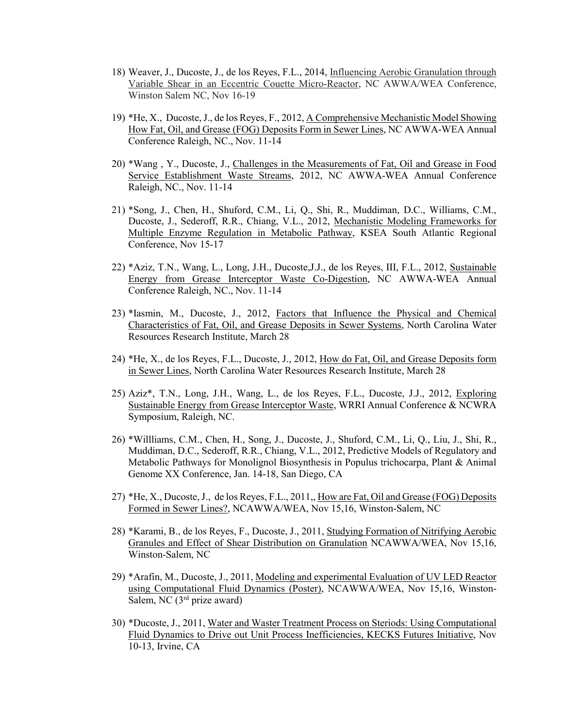- 18) Weaver, J., Ducoste, J., de los Reyes, F.L., 2014, Influencing Aerobic Granulation through Variable Shear in an Eccentric Couette Micro-Reactor, NC AWWA/WEA Conference, Winston Salem NC, Nov 16-19
- 19) \*He, X., Ducoste, J., de los Reyes, F., 2012, A Comprehensive Mechanistic Model Showing How Fat, Oil, and Grease (FOG) Deposits Form in Sewer Lines, NC AWWA-WEA Annual Conference Raleigh, NC., Nov. 11-14
- 20) \*Wang , Y., Ducoste, J., Challenges in the Measurements of Fat, Oil and Grease in Food Service Establishment Waste Streams, 2012, NC AWWA-WEA Annual Conference Raleigh, NC., Nov. 11-14
- 21) \*Song, J., Chen, H., Shuford, C.M., Li, Q., Shi, R., Muddiman, D.C., Williams, C.M., Ducoste, J., Sederoff, R.R., Chiang, V.L., 2012, Mechanistic Modeling Frameworks for Multiple Enzyme Regulation in Metabolic Pathway, KSEA South Atlantic Regional Conference, Nov 15-17
- 22) \*Aziz, T.N., Wang, L., Long, J.H., Ducoste,J.J., de los Reyes, III, F.L., 2012, Sustainable Energy from Grease Interceptor Waste Co-Digestion, NC AWWA-WEA Annual Conference Raleigh, NC., Nov. 11-14
- 23) \*Iasmin, M., Ducoste, J., 2012, Factors that Influence the Physical and Chemical Characteristics of Fat, Oil, and Grease Deposits in Sewer Systems, North Carolina Water Resources Research Institute, March 28
- 24) \*He, X., de los Reyes, F.L., Ducoste, J., 2012, How do Fat, Oil, and Grease Deposits form in Sewer Lines, North Carolina Water Resources Research Institute, March 28
- 25) Aziz\*, T.N., Long, J.H., Wang, L., de los Reyes, F.L., Ducoste, J.J., 2012, Exploring Sustainable Energy from Grease Interceptor Waste, WRRI Annual Conference & NCWRA Symposium, Raleigh, NC.
- 26) \*Willliams, C.M., Chen, H., Song, J., Ducoste, J., Shuford, C.M., Li, Q., Liu, J., Shi, R., Muddiman, D.C., Sederoff, R.R., Chiang, V.L., 2012, Predictive Models of Regulatory and Metabolic Pathways for Monolignol Biosynthesis in Populus trichocarpa, Plant & Animal Genome XX Conference, Jan. 14-18, San Diego, CA
- 27) \*He, X., Ducoste, J., de los Reyes, F.L., 2011,, How are Fat, Oil and Grease (FOG) Deposits Formed in Sewer Lines?, NCAWWA/WEA, Nov 15,16, Winston-Salem, NC
- 28) \*Karami, B., de los Reyes, F., Ducoste, J., 2011, Studying Formation of Nitrifying Aerobic Granules and Effect of Shear Distribution on Granulation NCAWWA/WEA, Nov 15,16, Winston-Salem, NC
- 29) \*Arafin, M., Ducoste, J., 2011, Modeling and experimental Evaluation of UV LED Reactor using Computational Fluid Dynamics (Poster), NCAWWA/WEA, Nov 15,16, Winston-Salem, NC  $(3<sup>rd</sup>$  prize award)
- 30) \*Ducoste, J., 2011, Water and Waster Treatment Process on Steriods: Using Computational Fluid Dynamics to Drive out Unit Process Inefficiencies, KECKS Futures Initiative, Nov 10-13, Irvine, CA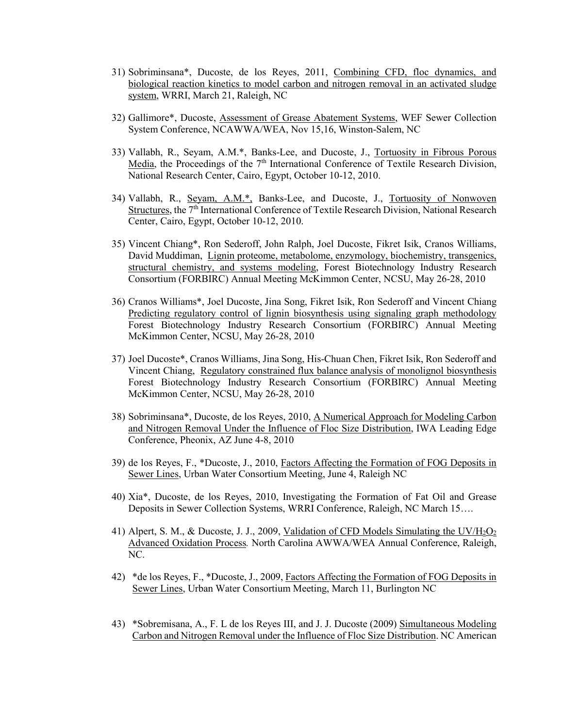- 31) Sobriminsana\*, Ducoste, de los Reyes, 2011, Combining CFD, floc dynamics, and biological reaction kinetics to model carbon and nitrogen removal in an activated sludge system, WRRI, March 21, Raleigh, NC
- 32) Gallimore\*, Ducoste, Assessment of Grease Abatement Systems, WEF Sewer Collection System Conference, NCAWWA/WEA, Nov 15,16, Winston-Salem, NC
- 33) Vallabh, R., Seyam, A.M.\*, Banks-Lee, and Ducoste, J., Tortuosity in Fibrous Porous Media, the Proceedings of the  $7<sup>th</sup>$  International Conference of Textile Research Division, National Research Center, Cairo, Egypt, October 10-12, 2010.
- 34) Vallabh, R., Seyam, A.M.\*, Banks-Lee, and Ducoste, J., Tortuosity of Nonwoven Structures, the 7th International Conference of Textile Research Division, National Research Center, Cairo, Egypt, October 10-12, 2010.
- 35) Vincent Chiang\*, Ron Sederoff, John Ralph, Joel Ducoste, Fikret Isik, Cranos Williams, David Muddiman, Lignin proteome, metabolome, enzymology, biochemistry, transgenics, structural chemistry, and systems modeling, Forest Biotechnology Industry Research Consortium (FORBIRC) Annual Meeting McKimmon Center, NCSU, May 26-28, 2010
- 36) Cranos Williams\*, Joel Ducoste, Jina Song, Fikret Isik, Ron Sederoff and Vincent Chiang Predicting regulatory control of lignin biosynthesis using signaling graph methodology Forest Biotechnology Industry Research Consortium (FORBIRC) Annual Meeting McKimmon Center, NCSU, May 26-28, 2010
- 37) Joel Ducoste\*, Cranos Williams, Jina Song, His-Chuan Chen, Fikret Isik, Ron Sederoff and Vincent Chiang, Regulatory constrained flux balance analysis of monolignol biosynthesis Forest Biotechnology Industry Research Consortium (FORBIRC) Annual Meeting McKimmon Center, NCSU, May 26-28, 2010
- 38) Sobriminsana\*, Ducoste, de los Reyes, 2010, A Numerical Approach for Modeling Carbon and Nitrogen Removal Under the Influence of Floc Size Distribution, IWA Leading Edge Conference, Pheonix, AZ June 4-8, 2010
- 39) de los Reyes, F., \*Ducoste, J., 2010, Factors Affecting the Formation of FOG Deposits in Sewer Lines, Urban Water Consortium Meeting, June 4, Raleigh NC
- 40) Xia\*, Ducoste, de los Reyes, 2010, Investigating the Formation of Fat Oil and Grease Deposits in Sewer Collection Systems, WRRI Conference, Raleigh, NC March 15….
- 41) Alpert, S. M., & Ducoste, J. J., 2009, Validation of CFD Models Simulating the UV/H<sub>2</sub>O<sub>2</sub> Advanced Oxidation Process*.* North Carolina AWWA/WEA Annual Conference, Raleigh, NC.
- 42) \*de los Reyes, F., \*Ducoste, J., 2009, Factors Affecting the Formation of FOG Deposits in Sewer Lines, Urban Water Consortium Meeting, March 11, Burlington NC
- 43) \*Sobremisana, A., F. L de los Reyes III, and J. J. Ducoste (2009) Simultaneous Modeling Carbon and Nitrogen Removal under the Influence of Floc Size Distribution. NC American